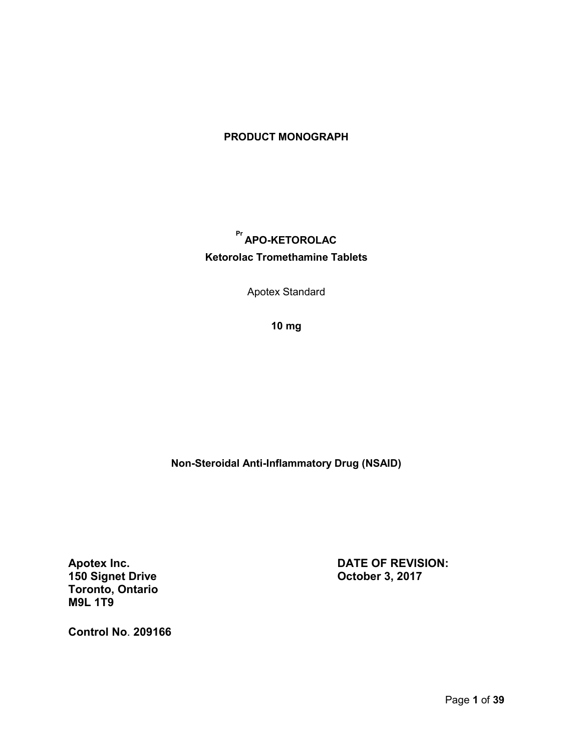## **PRODUCT MONOGRAPH**

# **Pr APO-KETOROLAC Ketorolac Tromethamine Tablets**

Apotex Standard

**10 mg**

**Non-Steroidal Anti-Inflammatory Drug (NSAID)**

**150 Signet Drive Toronto, Ontario M9L 1T9**

**Apotex Inc. DATE OF REVISION:**

**Control No**. **209166**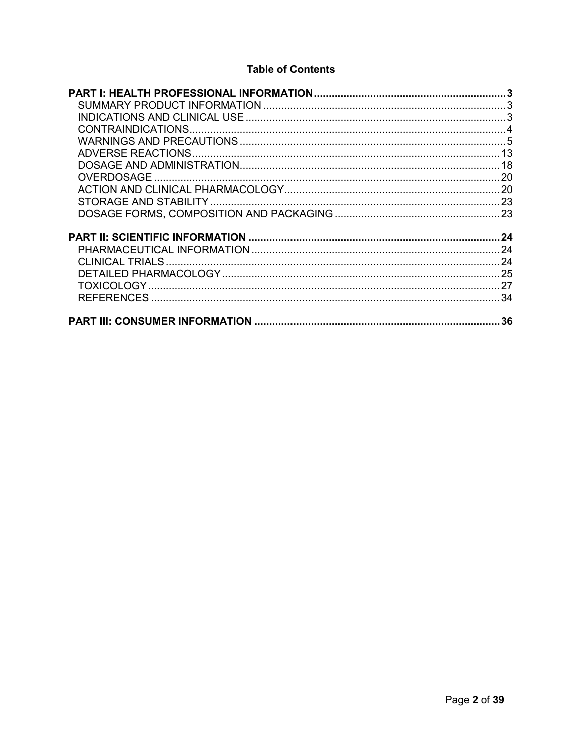## **Table of Contents**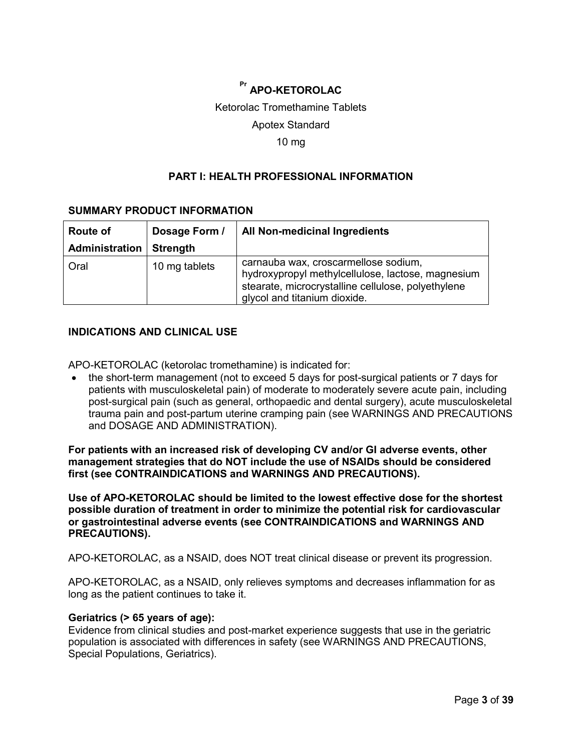# **Pr APO-KETOROLAC**

## Ketorolac Tromethamine Tablets

## Apotex Standard

## 10 mg

## **PART I: HEALTH PROFESSIONAL INFORMATION**

## <span id="page-2-1"></span><span id="page-2-0"></span>**SUMMARY PRODUCT INFORMATION**

| <b>Route of</b> | Dosage Form /   | All Non-medicinal Ingredients                                                                                                                                                   |  |
|-----------------|-----------------|---------------------------------------------------------------------------------------------------------------------------------------------------------------------------------|--|
| Administration  | <b>Strength</b> |                                                                                                                                                                                 |  |
| Oral            | 10 mg tablets   | carnauba wax, croscarmellose sodium,<br>hydroxypropyl methylcellulose, lactose, magnesium<br>stearate, microcrystalline cellulose, polyethylene<br>glycol and titanium dioxide. |  |

## <span id="page-2-2"></span>**INDICATIONS AND CLINICAL USE**

APO-KETOROLAC (ketorolac tromethamine) is indicated for:

 the short-term management (not to exceed 5 days for post-surgical patients or 7 days for patients with musculoskeletal pain) of moderate to moderately severe acute pain, including post-surgical pain (such as general, orthopaedic and dental surgery), acute musculoskeletal trauma pain and post-partum uterine cramping pain (see WARNINGS AND PRECAUTIONS and DOSAGE AND ADMINISTRATION).

**For patients with an increased risk of developing CV and/or GI adverse events, other management strategies that do NOT include the use of NSAIDs should be considered first (see CONTRAINDICATIONS and WARNINGS AND PRECAUTIONS).**

**Use of APO-KETOROLAC should be limited to the lowest effective dose for the shortest possible duration of treatment in order to minimize the potential risk for cardiovascular or gastrointestinal adverse events (see CONTRAINDICATIONS and WARNINGS AND PRECAUTIONS).**

APO-KETOROLAC, as a NSAID, does NOT treat clinical disease or prevent its progression.

APO-KETOROLAC, as a NSAID, only relieves symptoms and decreases inflammation for as long as the patient continues to take it.

### **Geriatrics (> 65 years of age):**

Evidence from clinical studies and post-market experience suggests that use in the geriatric population is associated with differences in safety (see WARNINGS AND PRECAUTIONS, Special Populations, Geriatrics).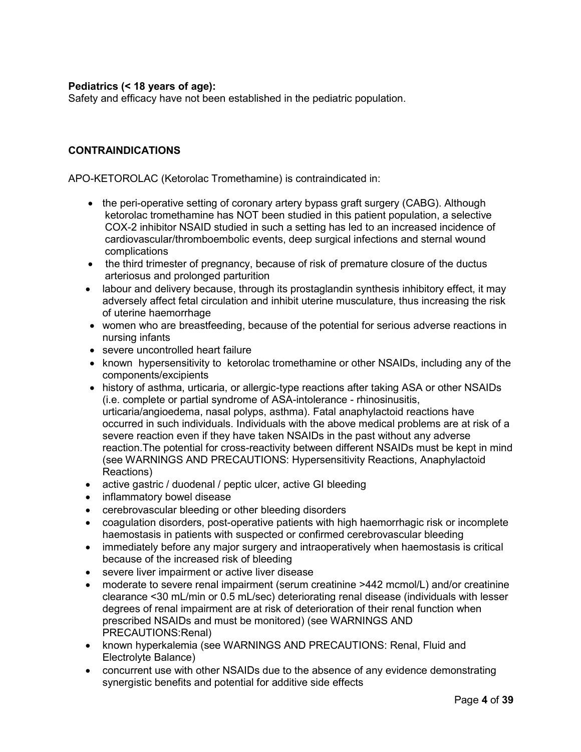## **Pediatrics (< 18 years of age):**

Safety and efficacy have not been established in the pediatric population.

## <span id="page-3-0"></span>**CONTRAINDICATIONS**

APO-KETOROLAC (Ketorolac Tromethamine) is contraindicated in:

- the peri-operative setting of coronary artery bypass graft surgery (CABG). Although ketorolac tromethamine has NOT been studied in this patient population, a selective COX-2 inhibitor NSAID studied in such a setting has led to an increased incidence of cardiovascular/thromboembolic events, deep surgical infections and sternal wound complications
- the third trimester of pregnancy, because of risk of premature closure of the ductus arteriosus and prolonged parturition
- labour and delivery because, through its prostaglandin synthesis inhibitory effect, it may adversely affect fetal circulation and inhibit uterine musculature, thus increasing the risk of uterine haemorrhage
- women who are breastfeeding, because of the potential for serious adverse reactions in nursing infants
- severe uncontrolled heart failure
- known hypersensitivity to ketorolac tromethamine or other NSAIDs, including any of the components/excipients
- history of asthma, urticaria, or allergic-type reactions after taking ASA or other NSAIDs (i.e. complete or partial syndrome of ASA-intolerance - rhinosinusitis, urticaria/angioedema, nasal polyps, asthma). Fatal anaphylactoid reactions have occurred in such individuals. Individuals with the above medical problems are at risk of a severe reaction even if they have taken NSAIDs in the past without any adverse reaction.The potential for cross-reactivity between different NSAIDs must be kept in mind (see WARNINGS AND PRECAUTIONS: Hypersensitivity Reactions, Anaphylactoid Reactions)
- active gastric / duodenal / peptic ulcer, active GI bleeding
- inflammatory bowel disease
- cerebrovascular bleeding or other bleeding disorders
- coagulation disorders, post-operative patients with high haemorrhagic risk or incomplete haemostasis in patients with suspected or confirmed cerebrovascular bleeding
- immediately before any major surgery and intraoperatively when haemostasis is critical because of the increased risk of bleeding
- severe liver impairment or active liver disease
- moderate to severe renal impairment (serum creatinine >442 mcmol/L) and/or creatinine clearance <30 mL/min or 0.5 mL/sec) deteriorating renal disease (individuals with lesser degrees of renal impairment are at risk of deterioration of their renal function when prescribed NSAIDs and must be monitored) (see WARNINGS AND PRECAUTIONS:Renal)
- known hyperkalemia (see WARNINGS AND PRECAUTIONS: Renal, Fluid and Electrolyte Balance)
- concurrent use with other NSAIDs due to the absence of any evidence demonstrating synergistic benefits and potential for additive side effects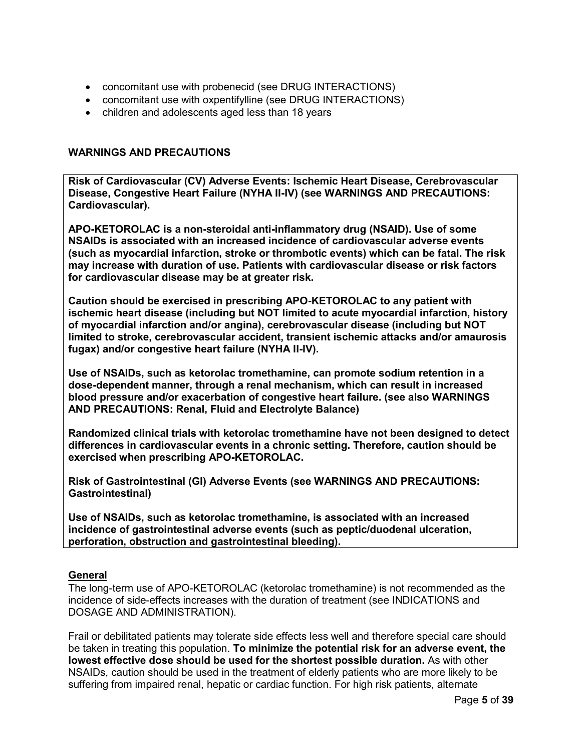- concomitant use with probenecid (see DRUG INTERACTIONS)
- concomitant use with oxpentifylline (see DRUG INTERACTIONS)
- children and adolescents aged less than 18 years

## <span id="page-4-0"></span>**WARNINGS AND PRECAUTIONS**

**Risk of Cardiovascular (CV) Adverse Events: Ischemic Heart Disease, Cerebrovascular Disease, Congestive Heart Failure (NYHA II-IV) (see WARNINGS AND PRECAUTIONS: Cardiovascular).**

**APO-KETOROLAC is a non-steroidal anti-inflammatory drug (NSAID). Use of some NSAIDs is associated with an increased incidence of cardiovascular adverse events (such as myocardial infarction, stroke or thrombotic events) which can be fatal. The risk may increase with duration of use. Patients with cardiovascular disease or risk factors for cardiovascular disease may be at greater risk.**

**Caution should be exercised in prescribing APO-KETOROLAC to any patient with ischemic heart disease (including but NOT limited to acute myocardial infarction, history of myocardial infarction and/or angina), cerebrovascular disease (including but NOT limited to stroke, cerebrovascular accident, transient ischemic attacks and/or amaurosis fugax) and/or congestive heart failure (NYHA II-IV).**

**Use of NSAIDs, such as ketorolac tromethamine, can promote sodium retention in a dose-dependent manner, through a renal mechanism, which can result in increased blood pressure and/or exacerbation of congestive heart failure. (see also WARNINGS AND PRECAUTIONS: Renal, Fluid and Electrolyte Balance)**

**Randomized clinical trials with ketorolac tromethamine have not been designed to detect differences in cardiovascular events in a chronic setting. Therefore, caution should be exercised when prescribing APO-KETOROLAC.**

**Risk of Gastrointestinal (GI) Adverse Events (see WARNINGS AND PRECAUTIONS: Gastrointestinal)**

**Use of NSAIDs, such as ketorolac tromethamine, is associated with an increased incidence of gastrointestinal adverse events (such as peptic/duodenal ulceration, perforation, obstruction and gastrointestinal bleeding).**

## **General**

The long-term use of APO-KETOROLAC (ketorolac tromethamine) is not recommended as the incidence of side-effects increases with the duration of treatment (see INDICATIONS and DOSAGE AND ADMINISTRATION).

Frail or debilitated patients may tolerate side effects less well and therefore special care should be taken in treating this population. **To minimize the potential risk for an adverse event, the lowest effective dose should be used for the shortest possible duration.** As with other NSAIDs, caution should be used in the treatment of elderly patients who are more likely to be suffering from impaired renal, hepatic or cardiac function. For high risk patients, alternate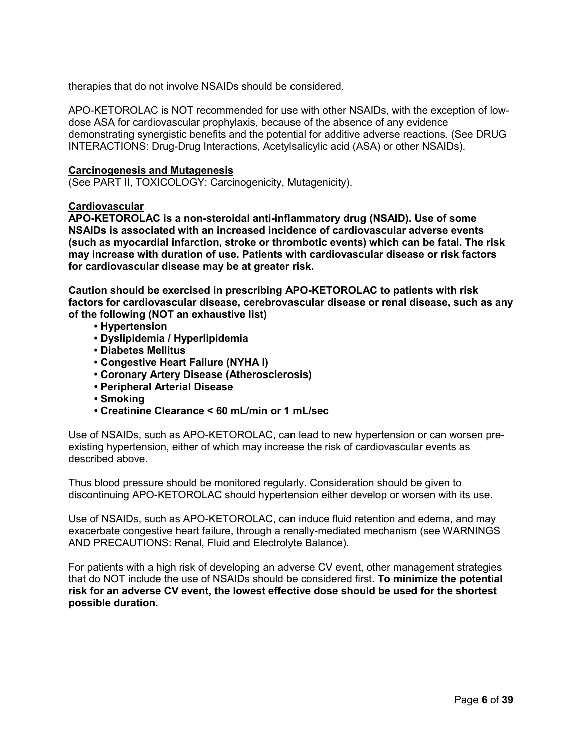therapies that do not involve NSAIDs should be considered.

APO-KETOROLAC is NOT recommended for use with other NSAIDs, with the exception of lowdose ASA for cardiovascular prophylaxis, because of the absence of any evidence demonstrating synergistic benefits and the potential for additive adverse reactions. (See DRUG INTERACTIONS: Drug-Drug Interactions, Acetylsalicylic acid (ASA) or other NSAIDs).

### **Carcinogenesis and Mutagenesis**

(See PART II, TOXICOLOGY: Carcinogenicity, Mutagenicity).

## **Cardiovascular**

**APO-KETOROLAC is a non-steroidal anti-inflammatory drug (NSAID). Use of some NSAIDs is associated with an increased incidence of cardiovascular adverse events (such as myocardial infarction, stroke or thrombotic events) which can be fatal. The risk may increase with duration of use. Patients with cardiovascular disease or risk factors for cardiovascular disease may be at greater risk.**

**Caution should be exercised in prescribing APO-KETOROLAC to patients with risk factors for cardiovascular disease, cerebrovascular disease or renal disease, such as any of the following (NOT an exhaustive list)**

- **Hypertension**
- **Dyslipidemia / Hyperlipidemia**
- **Diabetes Mellitus**
- **Congestive Heart Failure (NYHA I)**
- **Coronary Artery Disease (Atherosclerosis)**
- **Peripheral Arterial Disease**
- **Smoking**
- **Creatinine Clearance < 60 mL/min or 1 mL/sec**

Use of NSAIDs, such as APO-KETOROLAC, can lead to new hypertension or can worsen preexisting hypertension, either of which may increase the risk of cardiovascular events as described above.

Thus blood pressure should be monitored regularly. Consideration should be given to discontinuing APO-KETOROLAC should hypertension either develop or worsen with its use.

Use of NSAIDs, such as APO-KETOROLAC, can induce fluid retention and edema, and may exacerbate congestive heart failure, through a renally-mediated mechanism (see WARNINGS AND PRECAUTIONS: Renal, Fluid and Electrolyte Balance).

For patients with a high risk of developing an adverse CV event, other management strategies that do NOT include the use of NSAIDs should be considered first. **To minimize the potential risk for an adverse CV event, the lowest effective dose should be used for the shortest possible duration.**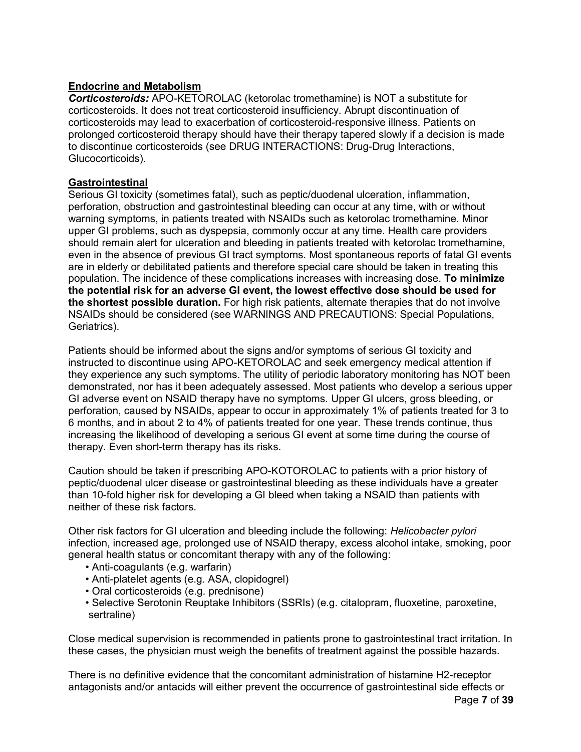## **Endocrine and Metabolism**

*Corticosteroids:* APO-KETOROLAC (ketorolac tromethamine) is NOT a substitute for corticosteroids. It does not treat corticosteroid insufficiency. Abrupt discontinuation of corticosteroids may lead to exacerbation of corticosteroid-responsive illness. Patients on prolonged corticosteroid therapy should have their therapy tapered slowly if a decision is made to discontinue corticosteroids (see DRUG INTERACTIONS: Drug-Drug Interactions, Glucocorticoids).

## **Gastrointestinal**

Serious GI toxicity (sometimes fatal), such as peptic/duodenal ulceration, inflammation, perforation, obstruction and gastrointestinal bleeding can occur at any time, with or without warning symptoms, in patients treated with NSAIDs such as ketorolac tromethamine. Minor upper GI problems, such as dyspepsia, commonly occur at any time. Health care providers should remain alert for ulceration and bleeding in patients treated with ketorolac tromethamine, even in the absence of previous GI tract symptoms. Most spontaneous reports of fatal GI events are in elderly or debilitated patients and therefore special care should be taken in treating this population. The incidence of these complications increases with increasing dose. **To minimize the potential risk for an adverse GI event, the lowest effective dose should be used for the shortest possible duration.** For high risk patients, alternate therapies that do not involve NSAIDs should be considered (see WARNINGS AND PRECAUTIONS: Special Populations, Geriatrics).

Patients should be informed about the signs and/or symptoms of serious GI toxicity and instructed to discontinue using APO-KETOROLAC and seek emergency medical attention if they experience any such symptoms. The utility of periodic laboratory monitoring has NOT been demonstrated, nor has it been adequately assessed. Most patients who develop a serious upper GI adverse event on NSAID therapy have no symptoms. Upper GI ulcers, gross bleeding, or perforation, caused by NSAIDs, appear to occur in approximately 1% of patients treated for 3 to 6 months, and in about 2 to 4% of patients treated for one year. These trends continue, thus increasing the likelihood of developing a serious GI event at some time during the course of therapy. Even short-term therapy has its risks.

Caution should be taken if prescribing APO-KOTOROLAC to patients with a prior history of peptic/duodenal ulcer disease or gastrointestinal bleeding as these individuals have a greater than 10-fold higher risk for developing a GI bleed when taking a NSAID than patients with neither of these risk factors.

Other risk factors for GI ulceration and bleeding include the following: *Helicobacter pylori* infection, increased age, prolonged use of NSAID therapy, excess alcohol intake, smoking, poor general health status or concomitant therapy with any of the following:

- Anti-coagulants (e.g. warfarin)
- Anti-platelet agents (e.g. ASA, clopidogrel)
- Oral corticosteroids (e.g. prednisone)
- Selective Serotonin Reuptake Inhibitors (SSRIs) (e.g. citalopram, fluoxetine, paroxetine, sertraline)

Close medical supervision is recommended in patients prone to gastrointestinal tract irritation. In these cases, the physician must weigh the benefits of treatment against the possible hazards.

Page **7** of **39** There is no definitive evidence that the concomitant administration of histamine H2-receptor antagonists and/or antacids will either prevent the occurrence of gastrointestinal side effects or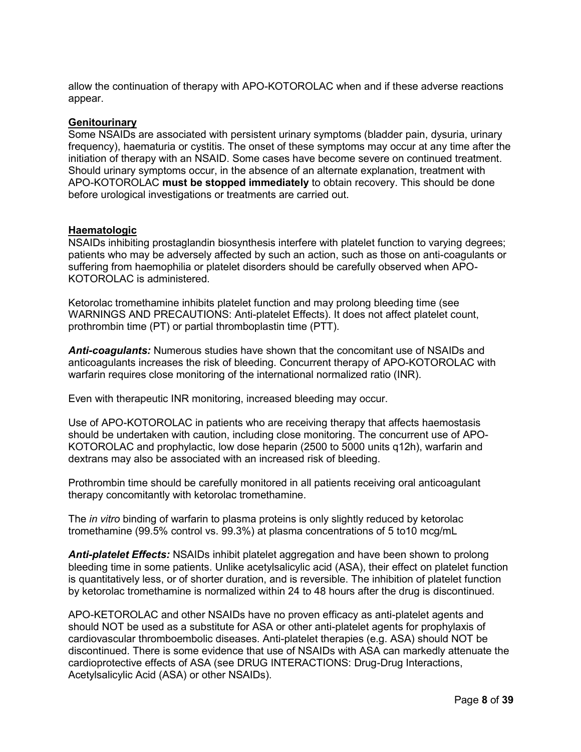allow the continuation of therapy with APO-KOTOROLAC when and if these adverse reactions appear.

#### **Genitourinary**

Some NSAIDs are associated with persistent urinary symptoms (bladder pain, dysuria, urinary frequency), haematuria or cystitis. The onset of these symptoms may occur at any time after the initiation of therapy with an NSAID. Some cases have become severe on continued treatment. Should urinary symptoms occur, in the absence of an alternate explanation, treatment with APO-KOTOROLAC **must be stopped immediately** to obtain recovery. This should be done before urological investigations or treatments are carried out.

#### **Haematologic**

NSAIDs inhibiting prostaglandin biosynthesis interfere with platelet function to varying degrees; patients who may be adversely affected by such an action, such as those on anti-coagulants or suffering from haemophilia or platelet disorders should be carefully observed when APO-KOTOROLAC is administered.

Ketorolac tromethamine inhibits platelet function and may prolong bleeding time (see WARNINGS AND PRECAUTIONS: Anti-platelet Effects). It does not affect platelet count, prothrombin time (PT) or partial thromboplastin time (PTT).

*Anti-coagulants:* Numerous studies have shown that the concomitant use of NSAIDs and anticoagulants increases the risk of bleeding. Concurrent therapy of APO-KOTOROLAC with warfarin requires close monitoring of the international normalized ratio (INR).

Even with therapeutic INR monitoring, increased bleeding may occur.

Use of APO-KOTOROLAC in patients who are receiving therapy that affects haemostasis should be undertaken with caution, including close monitoring. The concurrent use of APO-KOTOROLAC and prophylactic, low dose heparin (2500 to 5000 units q12h), warfarin and dextrans may also be associated with an increased risk of bleeding.

Prothrombin time should be carefully monitored in all patients receiving oral anticoagulant therapy concomitantly with ketorolac tromethamine.

The *in vitro* binding of warfarin to plasma proteins is only slightly reduced by ketorolac tromethamine (99.5% control vs. 99.3%) at plasma concentrations of 5 to10 mcg/mL

*Anti-platelet Effects:* NSAIDs inhibit platelet aggregation and have been shown to prolong bleeding time in some patients. Unlike acetylsalicylic acid (ASA), their effect on platelet function is quantitatively less, or of shorter duration, and is reversible. The inhibition of platelet function by ketorolac tromethamine is normalized within 24 to 48 hours after the drug is discontinued.

APO-KETOROLAC and other NSAIDs have no proven efficacy as anti-platelet agents and should NOT be used as a substitute for ASA or other anti-platelet agents for prophylaxis of cardiovascular thromboembolic diseases. Anti-platelet therapies (e.g. ASA) should NOT be discontinued. There is some evidence that use of NSAIDs with ASA can markedly attenuate the cardioprotective effects of ASA (see DRUG INTERACTIONS: Drug-Drug Interactions, Acetylsalicylic Acid (ASA) or other NSAIDs).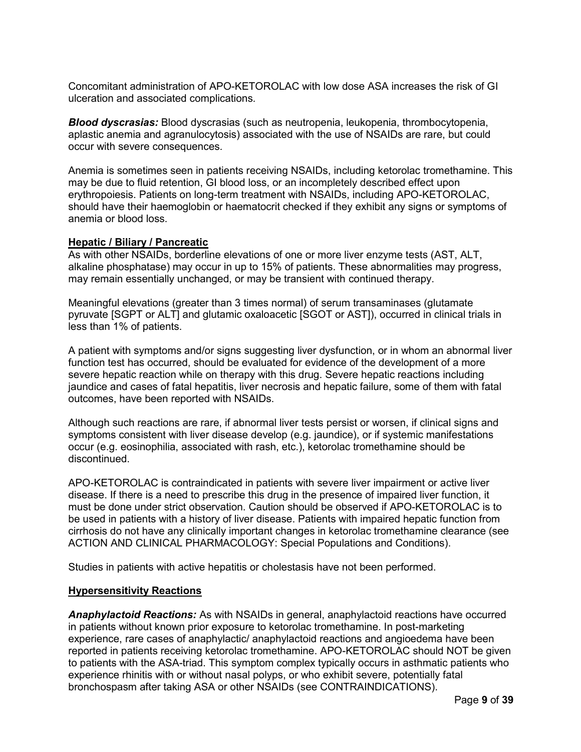Concomitant administration of APO-KETOROLAC with low dose ASA increases the risk of GI ulceration and associated complications.

*Blood dyscrasias:* Blood dyscrasias (such as neutropenia, leukopenia, thrombocytopenia, aplastic anemia and agranulocytosis) associated with the use of NSAIDs are rare, but could occur with severe consequences.

Anemia is sometimes seen in patients receiving NSAIDs, including ketorolac tromethamine. This may be due to fluid retention, GI blood loss, or an incompletely described effect upon erythropoiesis. Patients on long-term treatment with NSAIDs, including APO-KETOROLAC, should have their haemoglobin or haematocrit checked if they exhibit any signs or symptoms of anemia or blood loss.

### **Hepatic / Biliary / Pancreatic**

As with other NSAIDs, borderline elevations of one or more liver enzyme tests (AST, ALT, alkaline phosphatase) may occur in up to 15% of patients. These abnormalities may progress, may remain essentially unchanged, or may be transient with continued therapy.

Meaningful elevations (greater than 3 times normal) of serum transaminases (glutamate pyruvate [SGPT or ALT] and glutamic oxaloacetic [SGOT or AST]), occurred in clinical trials in less than 1% of patients.

A patient with symptoms and/or signs suggesting liver dysfunction, or in whom an abnormal liver function test has occurred, should be evaluated for evidence of the development of a more severe hepatic reaction while on therapy with this drug. Severe hepatic reactions including jaundice and cases of fatal hepatitis, liver necrosis and hepatic failure, some of them with fatal outcomes, have been reported with NSAIDs.

Although such reactions are rare, if abnormal liver tests persist or worsen, if clinical signs and symptoms consistent with liver disease develop (e.g. jaundice), or if systemic manifestations occur (e.g. eosinophilia, associated with rash, etc.), ketorolac tromethamine should be discontinued.

APO-KETOROLAC is contraindicated in patients with severe liver impairment or active liver disease. If there is a need to prescribe this drug in the presence of impaired liver function, it must be done under strict observation. Caution should be observed if APO-KETOROLAC is to be used in patients with a history of liver disease. Patients with impaired hepatic function from cirrhosis do not have any clinically important changes in ketorolac tromethamine clearance (see ACTION AND CLINICAL PHARMACOLOGY: Special Populations and Conditions).

Studies in patients with active hepatitis or cholestasis have not been performed.

#### **Hypersensitivity Reactions**

*Anaphylactoid Reactions:* As with NSAIDs in general, anaphylactoid reactions have occurred in patients without known prior exposure to ketorolac tromethamine. In post-marketing experience, rare cases of anaphylactic/ anaphylactoid reactions and angioedema have been reported in patients receiving ketorolac tromethamine. APO-KETOROLAC should NOT be given to patients with the ASA-triad. This symptom complex typically occurs in asthmatic patients who experience rhinitis with or without nasal polyps, or who exhibit severe, potentially fatal bronchospasm after taking ASA or other NSAIDs (see CONTRAINDICATIONS).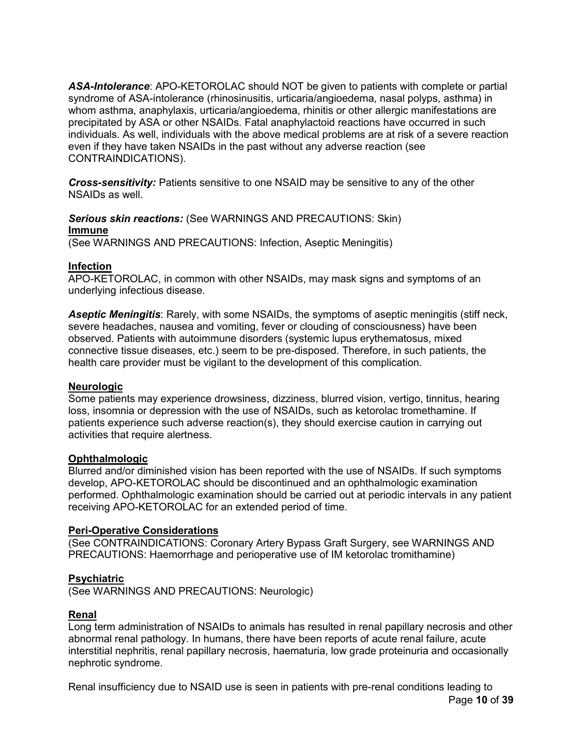*ASA-Intolerance*: APO-KETOROLAC should NOT be given to patients with complete or partial syndrome of ASA-intolerance (rhinosinusitis, urticaria/angioedema, nasal polyps, asthma) in whom asthma, anaphylaxis, urticaria/angioedema, rhinitis or other allergic manifestations are precipitated by ASA or other NSAIDs. Fatal anaphylactoid reactions have occurred in such individuals. As well, individuals with the above medical problems are at risk of a severe reaction even if they have taken NSAIDs in the past without any adverse reaction (see CONTRAINDICATIONS).

*Cross-sensitivity:* Patients sensitive to one NSAID may be sensitive to any of the other NSAIDs as well.

*Serious skin reactions:* (See WARNINGS AND PRECAUTIONS: Skin) **Immune**

(See WARNINGS AND PRECAUTIONS: Infection, Aseptic Meningitis)

## **Infection**

APO-KETOROLAC, in common with other NSAIDs, may mask signs and symptoms of an underlying infectious disease.

*Aseptic Meningitis*: Rarely, with some NSAIDs, the symptoms of aseptic meningitis (stiff neck, severe headaches, nausea and vomiting, fever or clouding of consciousness) have been observed. Patients with autoimmune disorders (systemic lupus erythematosus, mixed connective tissue diseases, etc.) seem to be pre-disposed. Therefore, in such patients, the health care provider must be vigilant to the development of this complication.

## **Neurologic**

Some patients may experience drowsiness, dizziness, blurred vision, vertigo, tinnitus, hearing loss, insomnia or depression with the use of NSAIDs, such as ketorolac tromethamine. If patients experience such adverse reaction(s), they should exercise caution in carrying out activities that require alertness.

## **Ophthalmologic**

Blurred and/or diminished vision has been reported with the use of NSAIDs. If such symptoms develop, APO-KETOROLAC should be discontinued and an ophthalmologic examination performed. Ophthalmologic examination should be carried out at periodic intervals in any patient receiving APO-KETOROLAC for an extended period of time.

## **Peri-Operative Considerations**

(See CONTRAINDICATIONS: Coronary Artery Bypass Graft Surgery, see WARNINGS AND PRECAUTIONS: Haemorrhage and perioperative use of IM ketorolac tromithamine)

## **Psychiatric**

(See WARNINGS AND PRECAUTIONS: Neurologic)

## **Renal**

Long term administration of NSAIDs to animals has resulted in renal papillary necrosis and other abnormal renal pathology. In humans, there have been reports of acute renal failure, acute interstitial nephritis, renal papillary necrosis, haematuria, low grade proteinuria and occasionally nephrotic syndrome.

Page **10** of **39** Renal insufficiency due to NSAID use is seen in patients with pre-renal conditions leading to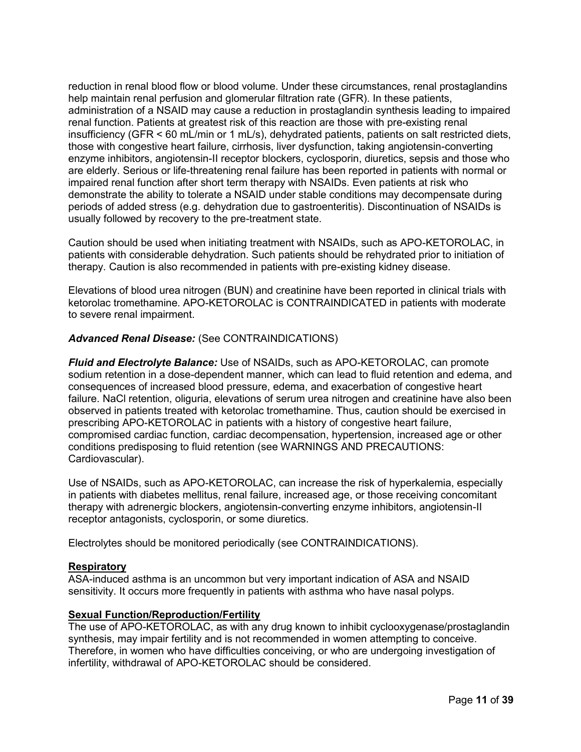reduction in renal blood flow or blood volume. Under these circumstances, renal prostaglandins help maintain renal perfusion and glomerular filtration rate (GFR). In these patients, administration of a NSAID may cause a reduction in prostaglandin synthesis leading to impaired renal function. Patients at greatest risk of this reaction are those with pre-existing renal insufficiency (GFR < 60 mL/min or 1 mL/s), dehydrated patients, patients on salt restricted diets, those with congestive heart failure, cirrhosis, liver dysfunction, taking angiotensin-converting enzyme inhibitors, angiotensin-II receptor blockers, cyclosporin, diuretics, sepsis and those who are elderly. Serious or life-threatening renal failure has been reported in patients with normal or impaired renal function after short term therapy with NSAIDs. Even patients at risk who demonstrate the ability to tolerate a NSAID under stable conditions may decompensate during periods of added stress (e.g. dehydration due to gastroenteritis). Discontinuation of NSAIDs is usually followed by recovery to the pre-treatment state.

Caution should be used when initiating treatment with NSAIDs, such as APO-KETOROLAC, in patients with considerable dehydration. Such patients should be rehydrated prior to initiation of therapy. Caution is also recommended in patients with pre-existing kidney disease.

Elevations of blood urea nitrogen (BUN) and creatinine have been reported in clinical trials with ketorolac tromethamine. APO-KETOROLAC is CONTRAINDICATED in patients with moderate to severe renal impairment.

## *Advanced Renal Disease:* (See CONTRAINDICATIONS)

*Fluid and Electrolyte Balance:* Use of NSAIDs, such as APO-KETOROLAC, can promote sodium retention in a dose-dependent manner, which can lead to fluid retention and edema, and consequences of increased blood pressure, edema, and exacerbation of congestive heart failure. NaCl retention, oliguria, elevations of serum urea nitrogen and creatinine have also been observed in patients treated with ketorolac tromethamine. Thus, caution should be exercised in prescribing APO-KETOROLAC in patients with a history of congestive heart failure, compromised cardiac function, cardiac decompensation, hypertension, increased age or other conditions predisposing to fluid retention (see WARNINGS AND PRECAUTIONS: Cardiovascular).

Use of NSAIDs, such as APO-KETOROLAC, can increase the risk of hyperkalemia, especially in patients with diabetes mellitus, renal failure, increased age, or those receiving concomitant therapy with adrenergic blockers, angiotensin-converting enzyme inhibitors, angiotensin-II receptor antagonists, cyclosporin, or some diuretics.

Electrolytes should be monitored periodically (see CONTRAINDICATIONS).

### **Respiratory**

ASA-induced asthma is an uncommon but very important indication of ASA and NSAID sensitivity. It occurs more frequently in patients with asthma who have nasal polyps.

### **Sexual Function/Reproduction/Fertility**

The use of APO-KETOROLAC, as with any drug known to inhibit cyclooxygenase/prostaglandin synthesis, may impair fertility and is not recommended in women attempting to conceive. Therefore, in women who have difficulties conceiving, or who are undergoing investigation of infertility, withdrawal of APO-KETOROLAC should be considered.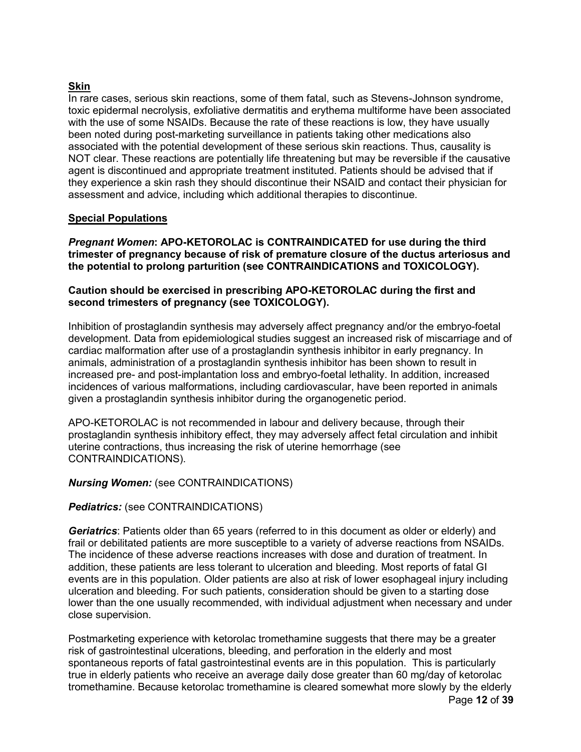## **Skin**

In rare cases, serious skin reactions, some of them fatal, such as Stevens-Johnson syndrome, toxic epidermal necrolysis, exfoliative dermatitis and erythema multiforme have been associated with the use of some NSAIDs. Because the rate of these reactions is low, they have usually been noted during post-marketing surveillance in patients taking other medications also associated with the potential development of these serious skin reactions. Thus, causality is NOT clear. These reactions are potentially life threatening but may be reversible if the causative agent is discontinued and appropriate treatment instituted. Patients should be advised that if they experience a skin rash they should discontinue their NSAID and contact their physician for assessment and advice, including which additional therapies to discontinue.

## **Special Populations**

*Pregnant Women***: APO-KETOROLAC is CONTRAINDICATED for use during the third trimester of pregnancy because of risk of premature closure of the ductus arteriosus and the potential to prolong parturition (see CONTRAINDICATIONS and TOXICOLOGY).**

## **Caution should be exercised in prescribing APO-KETOROLAC during the first and second trimesters of pregnancy (see TOXICOLOGY).**

Inhibition of prostaglandin synthesis may adversely affect pregnancy and/or the embryo-foetal development. Data from epidemiological studies suggest an increased risk of miscarriage and of cardiac malformation after use of a prostaglandin synthesis inhibitor in early pregnancy. In animals, administration of a prostaglandin synthesis inhibitor has been shown to result in increased pre- and post-implantation loss and embryo-foetal lethality. In addition, increased incidences of various malformations, including cardiovascular, have been reported in animals given a prostaglandin synthesis inhibitor during the organogenetic period.

APO-KETOROLAC is not recommended in labour and delivery because, through their prostaglandin synthesis inhibitory effect, they may adversely affect fetal circulation and inhibit uterine contractions, thus increasing the risk of uterine hemorrhage (see CONTRAINDICATIONS).

## *Nursing Women:* (see CONTRAINDICATIONS)

### *Pediatrics:* (see CONTRAINDICATIONS)

*Geriatrics*: Patients older than 65 years (referred to in this document as older or elderly) and frail or debilitated patients are more susceptible to a variety of adverse reactions from NSAIDs. The incidence of these adverse reactions increases with dose and duration of treatment. In addition, these patients are less tolerant to ulceration and bleeding. Most reports of fatal GI events are in this population. Older patients are also at risk of lower esophageal injury including ulceration and bleeding. For such patients, consideration should be given to a starting dose lower than the one usually recommended, with individual adjustment when necessary and under close supervision.

Page **12** of **39** Postmarketing experience with ketorolac tromethamine suggests that there may be a greater risk of gastrointestinal ulcerations, bleeding, and perforation in the elderly and most spontaneous reports of fatal gastrointestinal events are in this population. This is particularly true in elderly patients who receive an average daily dose greater than 60 mg/day of ketorolac tromethamine. Because ketorolac tromethamine is cleared somewhat more slowly by the elderly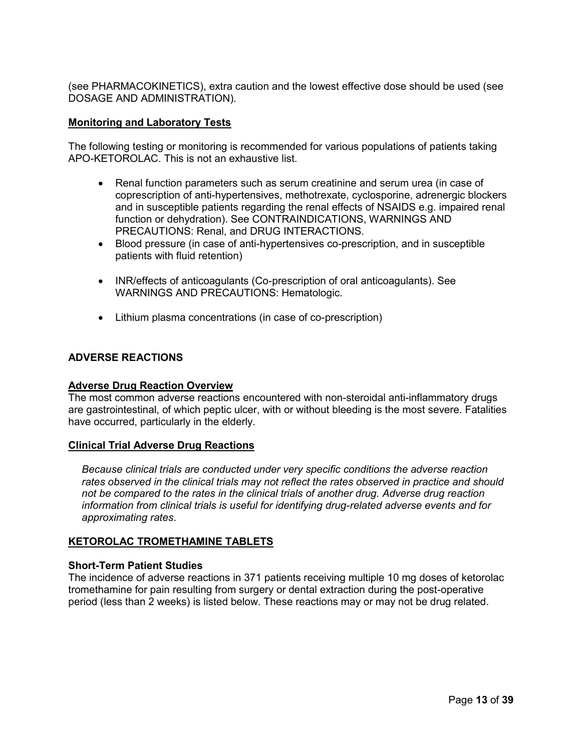(see PHARMACOKINETICS), extra caution and the lowest effective dose should be used (see DOSAGE AND ADMINISTRATION).

## **Monitoring and Laboratory Tests**

The following testing or monitoring is recommended for various populations of patients taking APO-KETOROLAC. This is not an exhaustive list.

- Renal function parameters such as serum creatinine and serum urea (in case of coprescription of anti-hypertensives, methotrexate, cyclosporine, adrenergic blockers and in susceptible patients regarding the renal effects of NSAIDS e.g. impaired renal function or dehydration). See CONTRAINDICATIONS, WARNINGS AND PRECAUTIONS: Renal, and DRUG INTERACTIONS.
- Blood pressure (in case of anti-hypertensives co-prescription, and in susceptible patients with fluid retention)
- INR/effects of anticoagulants (Co-prescription of oral anticoagulants). See WARNINGS AND PRECAUTIONS: Hematologic.
- Lithium plasma concentrations (in case of co-prescription)

## <span id="page-12-0"></span>**ADVERSE REACTIONS**

### **Adverse Drug Reaction Overview**

The most common adverse reactions encountered with non-steroidal anti-inflammatory drugs are gastrointestinal, of which peptic ulcer, with or without bleeding is the most severe. Fatalities have occurred, particularly in the elderly.

### **Clinical Trial Adverse Drug Reactions**

*Because clinical trials are conducted under very specific conditions the adverse reaction rates observed in the clinical trials may not reflect the rates observed in practice and should not be compared to the rates in the clinical trials of another drug. Adverse drug reaction information from clinical trials is useful for identifying drug-related adverse events and for approximating rates*.

### **KETOROLAC TROMETHAMINE TABLETS**

### **Short-Term Patient Studies**

The incidence of adverse reactions in 371 patients receiving multiple 10 mg doses of ketorolac tromethamine for pain resulting from surgery or dental extraction during the post-operative period (less than 2 weeks) is listed below. These reactions may or may not be drug related.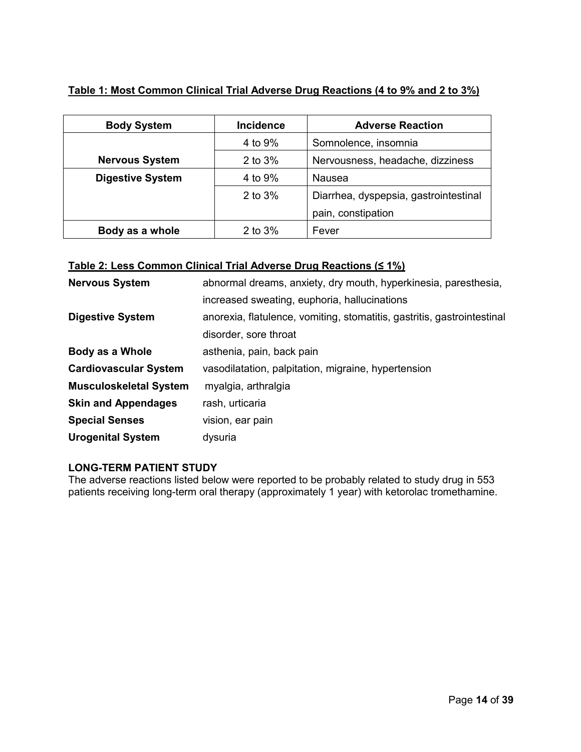| Table 1: Most Common Clinical Trial Adverse Drug Reactions (4 to 9% and 2 to 3%) |  |
|----------------------------------------------------------------------------------|--|
|                                                                                  |  |

| <b>Body System</b>      | <b>Incidence</b> | <b>Adverse Reaction</b>               |  |
|-------------------------|------------------|---------------------------------------|--|
|                         | 4 to 9%          | Somnolence, insomnia                  |  |
| <b>Nervous System</b>   | 2 to 3%          | Nervousness, headache, dizziness      |  |
| <b>Digestive System</b> | 4 to 9%          | Nausea                                |  |
|                         | 2 to 3%          | Diarrhea, dyspepsia, gastrointestinal |  |
|                         |                  | pain, constipation                    |  |
| Body as a whole         | 2 to 3%          | Fever                                 |  |

## **Table 2: Less Common Clinical Trial Adverse Drug Reactions (≤ 1%)**

| <b>Nervous System</b>         | abnormal dreams, anxiety, dry mouth, hyperkinesia, paresthesia,         |  |
|-------------------------------|-------------------------------------------------------------------------|--|
|                               | increased sweating, euphoria, hallucinations                            |  |
| <b>Digestive System</b>       | anorexia, flatulence, vomiting, stomatitis, gastritis, gastrointestinal |  |
|                               | disorder, sore throat                                                   |  |
| Body as a Whole               | asthenia, pain, back pain                                               |  |
| <b>Cardiovascular System</b>  | vasodilatation, palpitation, migraine, hypertension                     |  |
| <b>Musculoskeletal System</b> | myalgia, arthralgia                                                     |  |
| <b>Skin and Appendages</b>    | rash, urticaria                                                         |  |
| <b>Special Senses</b>         | vision, ear pain                                                        |  |
| <b>Urogenital System</b>      | dysuria                                                                 |  |

## **LONG-TERM PATIENT STUDY**

The adverse reactions listed below were reported to be probably related to study drug in 553 patients receiving long-term oral therapy (approximately 1 year) with ketorolac tromethamine.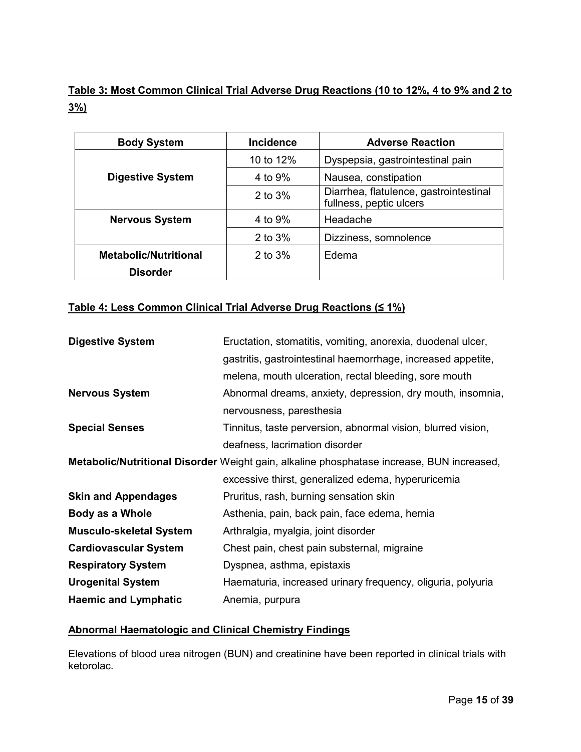# **Table 3: Most Common Clinical Trial Adverse Drug Reactions (10 to 12%, 4 to 9% and 2 to 3%)**

| <b>Body System</b>           | <b>Incidence</b> | <b>Adverse Reaction</b>                                           |  |
|------------------------------|------------------|-------------------------------------------------------------------|--|
|                              | 10 to 12%        | Dyspepsia, gastrointestinal pain                                  |  |
| <b>Digestive System</b>      | 4 to 9%          | Nausea, constipation                                              |  |
|                              | 2 to 3%          | Diarrhea, flatulence, gastrointestinal<br>fullness, peptic ulcers |  |
| <b>Nervous System</b>        | 4 to 9%          | Headache                                                          |  |
|                              | 2 to 3%          | Dizziness, somnolence                                             |  |
| <b>Metabolic/Nutritional</b> | 2 to 3%          | Edema                                                             |  |
| <b>Disorder</b>              |                  |                                                                   |  |

## **Table 4: Less Common Clinical Trial Adverse Drug Reactions (≤ 1%)**

| <b>Digestive System</b>        | Eructation, stomatitis, vomiting, anorexia, duodenal ulcer,                               |  |
|--------------------------------|-------------------------------------------------------------------------------------------|--|
|                                | gastritis, gastrointestinal haemorrhage, increased appetite,                              |  |
|                                | melena, mouth ulceration, rectal bleeding, sore mouth                                     |  |
| <b>Nervous System</b>          | Abnormal dreams, anxiety, depression, dry mouth, insomnia,                                |  |
|                                | nervousness, paresthesia                                                                  |  |
| <b>Special Senses</b>          | Tinnitus, taste perversion, abnormal vision, blurred vision,                              |  |
|                                | deafness, lacrimation disorder                                                            |  |
|                                | Metabolic/Nutritional Disorder Weight gain, alkaline phosphatase increase, BUN increased, |  |
|                                | excessive thirst, generalized edema, hyperuricemia                                        |  |
| <b>Skin and Appendages</b>     | Pruritus, rash, burning sensation skin                                                    |  |
| Body as a Whole                | Asthenia, pain, back pain, face edema, hernia                                             |  |
| <b>Musculo-skeletal System</b> | Arthralgia, myalgia, joint disorder                                                       |  |
| <b>Cardiovascular System</b>   | Chest pain, chest pain substernal, migraine                                               |  |
| <b>Respiratory System</b>      | Dyspnea, asthma, epistaxis                                                                |  |
| <b>Urogenital System</b>       | Haematuria, increased urinary frequency, oliguria, polyuria                               |  |
| <b>Haemic and Lymphatic</b>    | Anemia, purpura                                                                           |  |

## **Abnormal Haematologic and Clinical Chemistry Findings**

Elevations of blood urea nitrogen (BUN) and creatinine have been reported in clinical trials with ketorolac.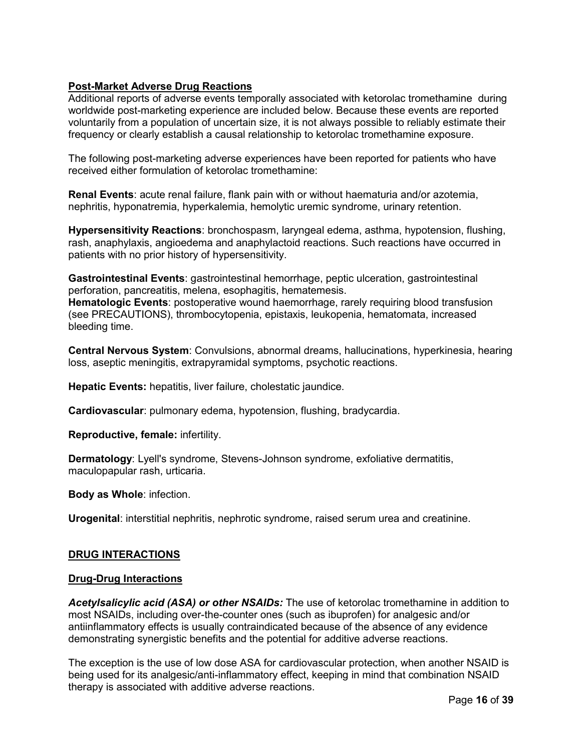## **Post-Market Adverse Drug Reactions**

Additional reports of adverse events temporally associated with ketorolac tromethamine during worldwide post-marketing experience are included below. Because these events are reported voluntarily from a population of uncertain size, it is not always possible to reliably estimate their frequency or clearly establish a causal relationship to ketorolac tromethamine exposure.

The following post-marketing adverse experiences have been reported for patients who have received either formulation of ketorolac tromethamine:

**Renal Events**: acute renal failure, flank pain with or without haematuria and/or azotemia, nephritis, hyponatremia, hyperkalemia, hemolytic uremic syndrome, urinary retention.

**Hypersensitivity Reactions**: bronchospasm, laryngeal edema, asthma, hypotension, flushing, rash, anaphylaxis, angioedema and anaphylactoid reactions. Such reactions have occurred in patients with no prior history of hypersensitivity.

**Gastrointestinal Events**: gastrointestinal hemorrhage, peptic ulceration, gastrointestinal perforation, pancreatitis, melena, esophagitis, hematemesis.

**Hematologic Events**: postoperative wound haemorrhage, rarely requiring blood transfusion (see PRECAUTIONS), thrombocytopenia, epistaxis, leukopenia, hematomata, increased bleeding time.

**Central Nervous System**: Convulsions, abnormal dreams, hallucinations, hyperkinesia, hearing loss, aseptic meningitis, extrapyramidal symptoms, psychotic reactions.

**Hepatic Events:** hepatitis, liver failure, cholestatic jaundice.

**Cardiovascular**: pulmonary edema, hypotension, flushing, bradycardia.

**Reproductive, female:** infertility.

**Dermatology**: Lyell's syndrome, Stevens-Johnson syndrome, exfoliative dermatitis, maculopapular rash, urticaria.

**Body as Whole**: infection.

**Urogenital**: interstitial nephritis, nephrotic syndrome, raised serum urea and creatinine.

### **DRUG INTERACTIONS**

### **Drug-Drug Interactions**

*Acetylsalicylic acid (ASA) or other NSAIDs:* The use of ketorolac tromethamine in addition to most NSAIDs, including over-the-counter ones (such as ibuprofen) for analgesic and/or antiinflammatory effects is usually contraindicated because of the absence of any evidence demonstrating synergistic benefits and the potential for additive adverse reactions.

The exception is the use of low dose ASA for cardiovascular protection, when another NSAID is being used for its analgesic/anti-inflammatory effect, keeping in mind that combination NSAID therapy is associated with additive adverse reactions.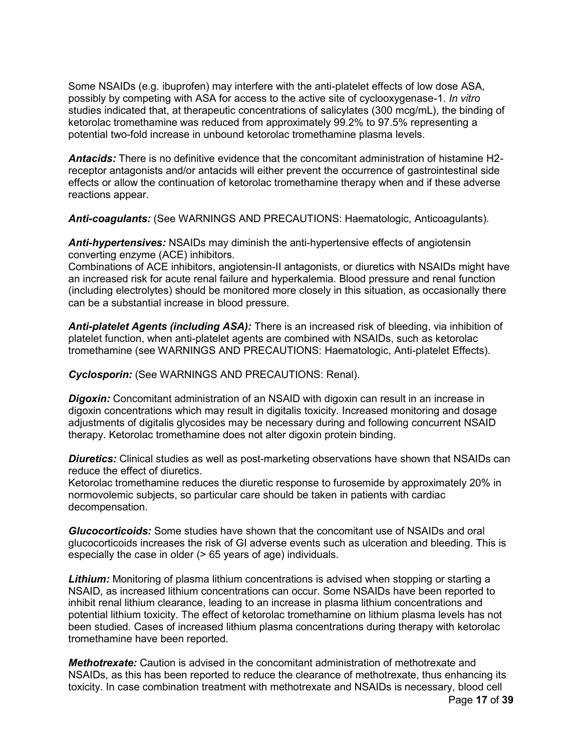Some NSAIDs (e.g. ibuprofen) may interfere with the anti-platelet effects of low dose ASA, possibly by competing with ASA for access to the active site of cyclooxygenase-1. *In vitro*  studies indicated that, at therapeutic concentrations of salicylates (300 mcg/mL), the binding of ketorolac tromethamine was reduced from approximately 99.2% to 97.5% representing a potential two-fold increase in unbound ketorolac tromethamine plasma levels.

*Antacids:* There is no definitive evidence that the concomitant administration of histamine H2 receptor antagonists and/or antacids will either prevent the occurrence of gastrointestinal side effects or allow the continuation of ketorolac tromethamine therapy when and if these adverse reactions appear.

*Anti-coagulants:* (See WARNINGS AND PRECAUTIONS: Haematologic, Anticoagulants).

*Anti-hypertensives:* NSAIDs may diminish the anti-hypertensive effects of angiotensin converting enzyme (ACE) inhibitors.

Combinations of ACE inhibitors, angiotensin-II antagonists, or diuretics with NSAIDs might have an increased risk for acute renal failure and hyperkalemia. Blood pressure and renal function (including electrolytes) should be monitored more closely in this situation, as occasionally there can be a substantial increase in blood pressure.

*Anti-platelet Agents (including ASA):* There is an increased risk of bleeding, via inhibition of platelet function, when anti-platelet agents are combined with NSAIDs, such as ketorolac tromethamine (see WARNINGS AND PRECAUTIONS: Haematologic, Anti-platelet Effects).

*Cyclosporin:* (See WARNINGS AND PRECAUTIONS: Renal).

**Digoxin:** Concomitant administration of an NSAID with digoxin can result in an increase in digoxin concentrations which may result in digitalis toxicity. Increased monitoring and dosage adjustments of digitalis glycosides may be necessary during and following concurrent NSAID therapy. Ketorolac tromethamine does not alter digoxin protein binding.

*Diuretics:* Clinical studies as well as post-marketing observations have shown that NSAIDs can reduce the effect of diuretics.

Ketorolac tromethamine reduces the diuretic response to furosemide by approximately 20% in normovolemic subjects, so particular care should be taken in patients with cardiac decompensation.

*Glucocorticoids:* Some studies have shown that the concomitant use of NSAIDs and oral glucocorticoids increases the risk of GI adverse events such as ulceration and bleeding. This is especially the case in older (> 65 years of age) individuals.

*Lithium:* Monitoring of plasma lithium concentrations is advised when stopping or starting a NSAID, as increased lithium concentrations can occur. Some NSAIDs have been reported to inhibit renal lithium clearance, leading to an increase in plasma lithium concentrations and potential lithium toxicity. The effect of ketorolac tromethamine on lithium plasma levels has not been studied. Cases of increased lithium plasma concentrations during therapy with ketorolac tromethamine have been reported.

*Methotrexate:* Caution is advised in the concomitant administration of methotrexate and NSAIDs, as this has been reported to reduce the clearance of methotrexate, thus enhancing its toxicity. In case combination treatment with methotrexate and NSAIDs is necessary, blood cell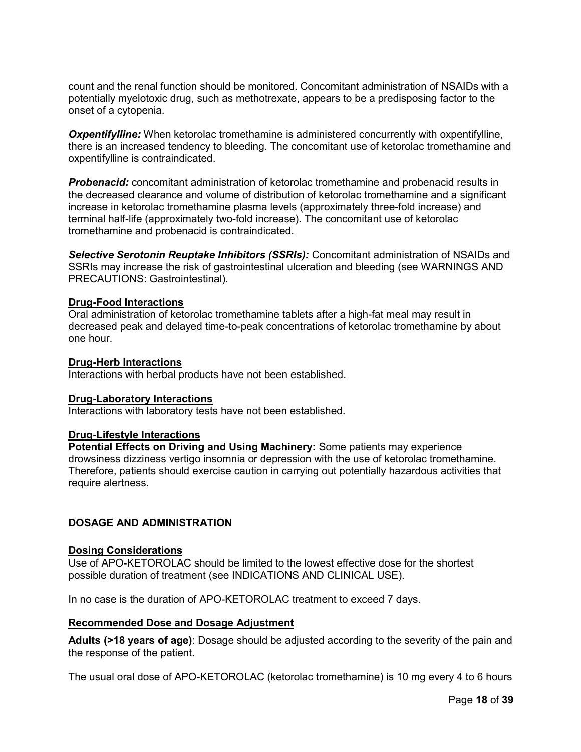count and the renal function should be monitored. Concomitant administration of NSAIDs with a potentially myelotoxic drug, such as methotrexate, appears to be a predisposing factor to the onset of a cytopenia.

**Oxpentifylline:** When ketorolac tromethamine is administered concurrently with oxpentifylline, there is an increased tendency to bleeding. The concomitant use of ketorolac tromethamine and oxpentifylline is contraindicated.

*Probenacid:* concomitant administration of ketorolac tromethamine and probenacid results in the decreased clearance and volume of distribution of ketorolac tromethamine and a significant increase in ketorolac tromethamine plasma levels (approximately three-fold increase) and terminal half-life (approximately two-fold increase). The concomitant use of ketorolac tromethamine and probenacid is contraindicated.

*Selective Serotonin Reuptake Inhibitors (SSRIs):* Concomitant administration of NSAIDs and SSRIs may increase the risk of gastrointestinal ulceration and bleeding (see WARNINGS AND PRECAUTIONS: Gastrointestinal).

### **Drug-Food Interactions**

Oral administration of ketorolac tromethamine tablets after a high-fat meal may result in decreased peak and delayed time-to-peak concentrations of ketorolac tromethamine by about one hour.

#### **Drug-Herb Interactions**

Interactions with herbal products have not been established.

#### **Drug-Laboratory Interactions**

Interactions with laboratory tests have not been established.

#### **Drug-Lifestyle Interactions**

**Potential Effects on Driving and Using Machinery:** Some patients may experience drowsiness dizziness vertigo insomnia or depression with the use of ketorolac tromethamine. Therefore, patients should exercise caution in carrying out potentially hazardous activities that require alertness.

## <span id="page-17-0"></span>**DOSAGE AND ADMINISTRATION**

#### **Dosing Considerations**

Use of APO-KETOROLAC should be limited to the lowest effective dose for the shortest possible duration of treatment (see INDICATIONS AND CLINICAL USE).

In no case is the duration of APO-KETOROLAC treatment to exceed 7 days.

### **Recommended Dose and Dosage Adjustment**

**Adults (>18 years of age)**: Dosage should be adjusted according to the severity of the pain and the response of the patient.

The usual oral dose of APO-KETOROLAC (ketorolac tromethamine) is 10 mg every 4 to 6 hours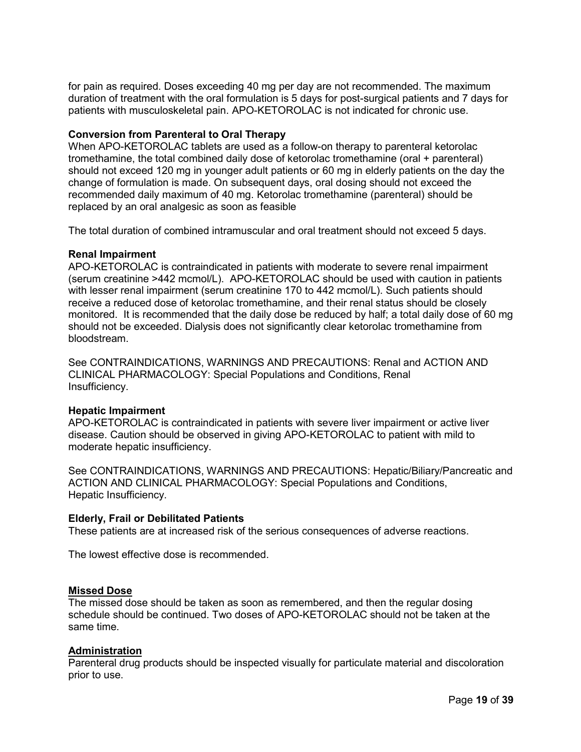for pain as required. Doses exceeding 40 mg per day are not recommended. The maximum duration of treatment with the oral formulation is 5 days for post-surgical patients and 7 days for patients with musculoskeletal pain. APO-KETOROLAC is not indicated for chronic use.

### **Conversion from Parenteral to Oral Therapy**

When APO-KETOROLAC tablets are used as a follow-on therapy to parenteral ketorolac tromethamine, the total combined daily dose of ketorolac tromethamine (oral + parenteral) should not exceed 120 mg in younger adult patients or 60 mg in elderly patients on the day the change of formulation is made. On subsequent days, oral dosing should not exceed the recommended daily maximum of 40 mg. Ketorolac tromethamine (parenteral) should be replaced by an oral analgesic as soon as feasible

The total duration of combined intramuscular and oral treatment should not exceed 5 days.

## **Renal Impairment**

APO-KETOROLAC is contraindicated in patients with moderate to severe renal impairment (serum creatinine >442 mcmol/L). APO-KETOROLAC should be used with caution in patients with lesser renal impairment (serum creatinine 170 to 442 mcmol/L). Such patients should receive a reduced dose of ketorolac tromethamine, and their renal status should be closely monitored. It is recommended that the daily dose be reduced by half; a total daily dose of 60 mg should not be exceeded. Dialysis does not significantly clear ketorolac tromethamine from bloodstream.

See CONTRAINDICATIONS, WARNINGS AND PRECAUTIONS: Renal and ACTION AND CLINICAL PHARMACOLOGY: Special Populations and Conditions, Renal Insufficiency.

### **Hepatic Impairment**

APO-KETOROLAC is contraindicated in patients with severe liver impairment or active liver disease. Caution should be observed in giving APO-KETOROLAC to patient with mild to moderate hepatic insufficiency.

See CONTRAINDICATIONS, WARNINGS AND PRECAUTIONS: Hepatic/Biliary/Pancreatic and ACTION AND CLINICAL PHARMACOLOGY: Special Populations and Conditions, Hepatic Insufficiency.

### **Elderly, Frail or Debilitated Patients**

These patients are at increased risk of the serious consequences of adverse reactions.

The lowest effective dose is recommended.

### **Missed Dose**

The missed dose should be taken as soon as remembered, and then the regular dosing schedule should be continued. Two doses of APO-KETOROLAC should not be taken at the same time.

### **Administration**

Parenteral drug products should be inspected visually for particulate material and discoloration prior to use.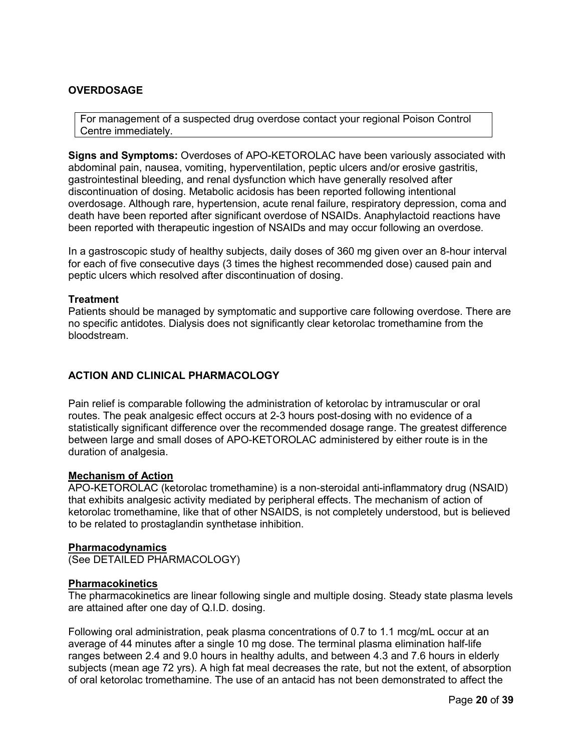## <span id="page-19-0"></span>**OVERDOSAGE**

For management of a suspected drug overdose contact your regional Poison Control Centre immediately.

**Signs and Symptoms:** Overdoses of APO-KETOROLAC have been variously associated with abdominal pain, nausea, vomiting, hyperventilation, peptic ulcers and/or erosive gastritis, gastrointestinal bleeding, and renal dysfunction which have generally resolved after discontinuation of dosing. Metabolic acidosis has been reported following intentional overdosage. Although rare, hypertension, acute renal failure, respiratory depression, coma and death have been reported after significant overdose of NSAIDs. Anaphylactoid reactions have been reported with therapeutic ingestion of NSAIDs and may occur following an overdose.

In a gastroscopic study of healthy subjects, daily doses of 360 mg given over an 8-hour interval for each of five consecutive days (3 times the highest recommended dose) caused pain and peptic ulcers which resolved after discontinuation of dosing.

#### **Treatment**

Patients should be managed by symptomatic and supportive care following overdose. There are no specific antidotes. Dialysis does not significantly clear ketorolac tromethamine from the bloodstream.

## <span id="page-19-1"></span>**ACTION AND CLINICAL PHARMACOLOGY**

Pain relief is comparable following the administration of ketorolac by intramuscular or oral routes. The peak analgesic effect occurs at 2-3 hours post-dosing with no evidence of a statistically significant difference over the recommended dosage range. The greatest difference between large and small doses of APO-KETOROLAC administered by either route is in the duration of analgesia.

#### **Mechanism of Action**

APO-KETOROLAC (ketorolac tromethamine) is a non-steroidal anti-inflammatory drug (NSAID) that exhibits analgesic activity mediated by peripheral effects. The mechanism of action of ketorolac tromethamine, like that of other NSAIDS, is not completely understood, but is believed to be related to prostaglandin synthetase inhibition.

#### **Pharmacodynamics**

(See DETAILED PHARMACOLOGY)

#### **Pharmacokinetics**

The pharmacokinetics are linear following single and multiple dosing. Steady state plasma levels are attained after one day of Q.I.D. dosing.

Following oral administration, peak plasma concentrations of 0.7 to 1.1 mcg/mL occur at an average of 44 minutes after a single 10 mg dose. The terminal plasma elimination half-life ranges between 2.4 and 9.0 hours in healthy adults, and between 4.3 and 7.6 hours in elderly subjects (mean age 72 yrs). A high fat meal decreases the rate, but not the extent, of absorption of oral ketorolac tromethamine. The use of an antacid has not been demonstrated to affect the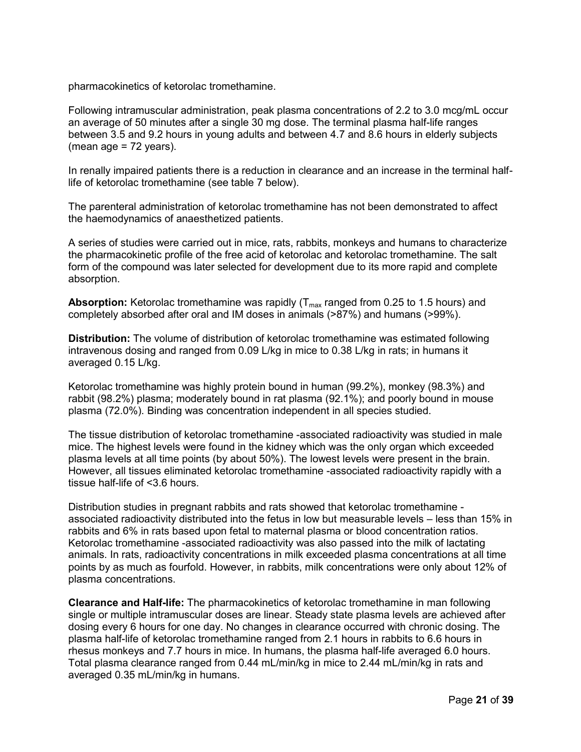pharmacokinetics of ketorolac tromethamine.

Following intramuscular administration, peak plasma concentrations of 2.2 to 3.0 mcg/mL occur an average of 50 minutes after a single 30 mg dose. The terminal plasma half-life ranges between 3.5 and 9.2 hours in young adults and between 4.7 and 8.6 hours in elderly subjects (mean age = 72 years).

In renally impaired patients there is a reduction in clearance and an increase in the terminal halflife of ketorolac tromethamine (see table 7 below).

The parenteral administration of ketorolac tromethamine has not been demonstrated to affect the haemodynamics of anaesthetized patients.

A series of studies were carried out in mice, rats, rabbits, monkeys and humans to characterize the pharmacokinetic profile of the free acid of ketorolac and ketorolac tromethamine. The salt form of the compound was later selected for development due to its more rapid and complete absorption.

**Absorption:** Ketorolac tromethamine was rapidly (T<sub>max</sub> ranged from 0.25 to 1.5 hours) and completely absorbed after oral and IM doses in animals (>87%) and humans (>99%).

**Distribution:** The volume of distribution of ketorolac tromethamine was estimated following intravenous dosing and ranged from 0.09 L/kg in mice to 0.38 L/kg in rats; in humans it averaged 0.15 L/kg.

Ketorolac tromethamine was highly protein bound in human (99.2%), monkey (98.3%) and rabbit (98.2%) plasma; moderately bound in rat plasma (92.1%); and poorly bound in mouse plasma (72.0%). Binding was concentration independent in all species studied.

The tissue distribution of ketorolac tromethamine -associated radioactivity was studied in male mice. The highest levels were found in the kidney which was the only organ which exceeded plasma levels at all time points (by about 50%). The lowest levels were present in the brain. However, all tissues eliminated ketorolac tromethamine -associated radioactivity rapidly with a tissue half-life of <3.6 hours.

Distribution studies in pregnant rabbits and rats showed that ketorolac tromethamine associated radioactivity distributed into the fetus in low but measurable levels – less than 15% in rabbits and 6% in rats based upon fetal to maternal plasma or blood concentration ratios. Ketorolac tromethamine -associated radioactivity was also passed into the milk of lactating animals. In rats, radioactivity concentrations in milk exceeded plasma concentrations at all time points by as much as fourfold. However, in rabbits, milk concentrations were only about 12% of plasma concentrations.

**Clearance and Half-life:** The pharmacokinetics of ketorolac tromethamine in man following single or multiple intramuscular doses are linear. Steady state plasma levels are achieved after dosing every 6 hours for one day. No changes in clearance occurred with chronic dosing. The plasma half-life of ketorolac tromethamine ranged from 2.1 hours in rabbits to 6.6 hours in rhesus monkeys and 7.7 hours in mice. In humans, the plasma half-life averaged 6.0 hours. Total plasma clearance ranged from 0.44 mL/min/kg in mice to 2.44 mL/min/kg in rats and averaged 0.35 mL/min/kg in humans.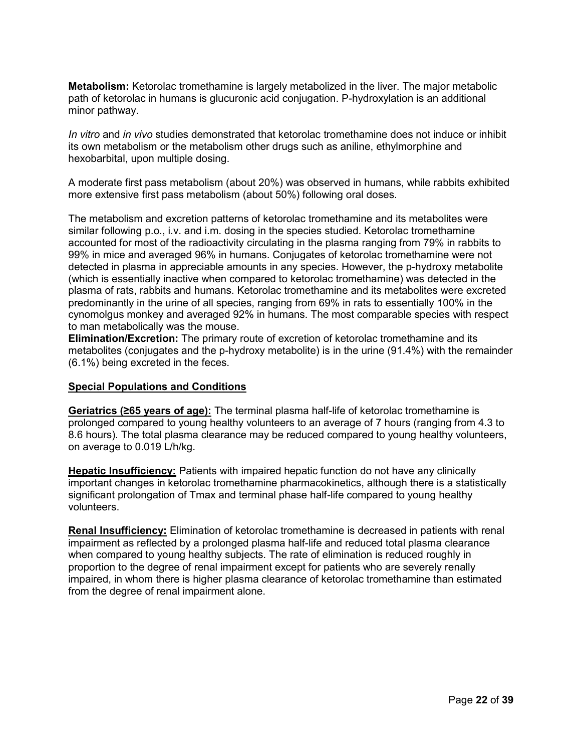**Metabolism:** Ketorolac tromethamine is largely metabolized in the liver. The major metabolic path of ketorolac in humans is glucuronic acid conjugation. P-hydroxylation is an additional minor pathway.

*In vitro* and *in vivo* studies demonstrated that ketorolac tromethamine does not induce or inhibit its own metabolism or the metabolism other drugs such as aniline, ethylmorphine and hexobarbital, upon multiple dosing.

A moderate first pass metabolism (about 20%) was observed in humans, while rabbits exhibited more extensive first pass metabolism (about 50%) following oral doses.

The metabolism and excretion patterns of ketorolac tromethamine and its metabolites were similar following p.o., i.v. and i.m. dosing in the species studied. Ketorolac tromethamine accounted for most of the radioactivity circulating in the plasma ranging from 79% in rabbits to 99% in mice and averaged 96% in humans. Conjugates of ketorolac tromethamine were not detected in plasma in appreciable amounts in any species. However, the p-hydroxy metabolite (which is essentially inactive when compared to ketorolac tromethamine) was detected in the plasma of rats, rabbits and humans. Ketorolac tromethamine and its metabolites were excreted predominantly in the urine of all species, ranging from 69% in rats to essentially 100% in the cynomolgus monkey and averaged 92% in humans. The most comparable species with respect to man metabolically was the mouse.

**Elimination/Excretion:** The primary route of excretion of ketorolac tromethamine and its metabolites (conjugates and the p-hydroxy metabolite) is in the urine (91.4%) with the remainder (6.1%) being excreted in the feces.

### **Special Populations and Conditions**

**Geriatrics (≥65 years of age):** The terminal plasma half-life of ketorolac tromethamine is prolonged compared to young healthy volunteers to an average of 7 hours (ranging from 4.3 to 8.6 hours). The total plasma clearance may be reduced compared to young healthy volunteers, on average to 0.019 L/h/kg.

**Hepatic Insufficiency:** Patients with impaired hepatic function do not have any clinically important changes in ketorolac tromethamine pharmacokinetics, although there is a statistically significant prolongation of Tmax and terminal phase half-life compared to young healthy volunteers.

**Renal Insufficiency:** Elimination of ketorolac tromethamine is decreased in patients with renal impairment as reflected by a prolonged plasma half-life and reduced total plasma clearance when compared to young healthy subjects. The rate of elimination is reduced roughly in proportion to the degree of renal impairment except for patients who are severely renally impaired, in whom there is higher plasma clearance of ketorolac tromethamine than estimated from the degree of renal impairment alone.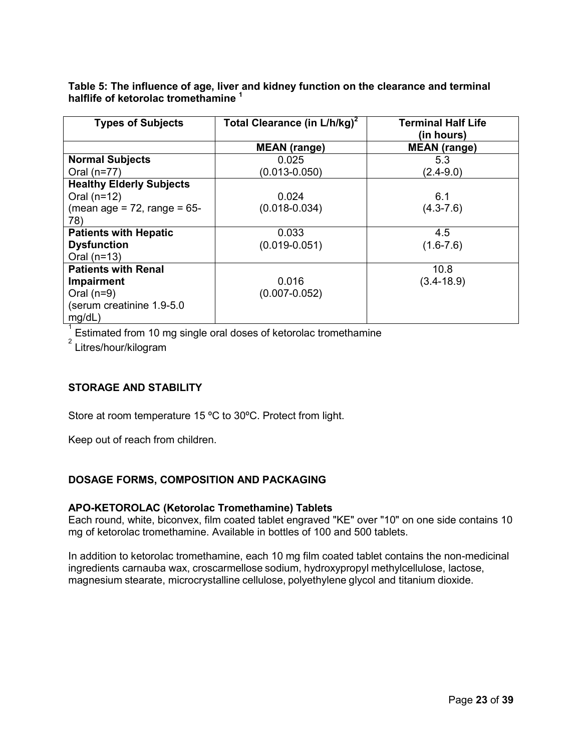**Table 5: The influence of age, liver and kidney function on the clearance and terminal halflife of ketorolac tromethamine <sup>1</sup>**

| <b>Types of Subjects</b>          | Total Clearance (in L/h/kg) <sup>2</sup> | <b>Terminal Half Life</b><br>(in hours) |
|-----------------------------------|------------------------------------------|-----------------------------------------|
|                                   | <b>MEAN</b> (range)                      | <b>MEAN</b> (range)                     |
| <b>Normal Subjects</b>            | 0.025                                    | 5.3                                     |
| Oral $(n=77)$                     | $(0.013 - 0.050)$                        | $(2.4 - 9.0)$                           |
| <b>Healthy Elderly Subjects</b>   |                                          |                                         |
| Oral $(n=12)$                     | 0.024                                    | 6.1                                     |
| (mean age = $72$ , range = $65$ - | $(0.018 - 0.034)$                        | $(4.3 - 7.6)$                           |
| 78)                               |                                          |                                         |
| <b>Patients with Hepatic</b>      | 0.033                                    | 4.5                                     |
| <b>Dysfunction</b>                | $(0.019 - 0.051)$                        | $(1.6 - 7.6)$                           |
| Oral $(n=13)$                     |                                          |                                         |
| <b>Patients with Renal</b>        |                                          | 10.8                                    |
| Impairment                        | 0.016                                    | $(3.4 - 18.9)$                          |
| Oral $(n=9)$                      | $(0.007 - 0.052)$                        |                                         |
| (serum creatinine 1.9-5.0         |                                          |                                         |
| mg/dL)                            |                                          |                                         |

 $1$  Estimated from 10 mg single oral doses of ketorolac tromethamine

<sup>2</sup> Litres/hour/kilogram

## <span id="page-22-0"></span>**STORAGE AND STABILITY**

Store at room temperature 15 ºC to 30ºC. Protect from light.

Keep out of reach from children.

## <span id="page-22-1"></span>**DOSAGE FORMS, COMPOSITION AND PACKAGING**

### **APO-KETOROLAC (Ketorolac Tromethamine) Tablets**

Each round, white, biconvex, film coated tablet engraved "KE" over "10" on one side contains 10 mg of ketorolac tromethamine. Available in bottles of 100 and 500 tablets.

In addition to ketorolac tromethamine, each 10 mg film coated tablet contains the non-medicinal ingredients carnauba wax, croscarmellose sodium, hydroxypropyl methylcellulose, lactose, magnesium stearate, microcrystalline cellulose, polyethylene glycol and titanium dioxide.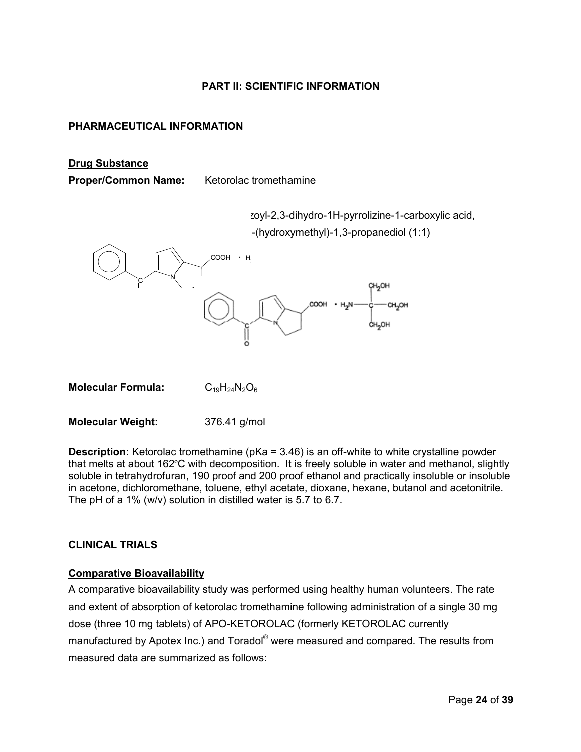## **PART II: SCIENTIFIC INFORMATION**

## <span id="page-23-1"></span><span id="page-23-0"></span>**PHARMACEUTICAL INFORMATION**

#### **Drug Substance**

**Proper/Common Name:** Ketorolac tromethamine

zoyl-2,3-dihydro-1H-pyrrolizine-1-carboxylic acid,

-(hydroxymethyl)-1,3-propanediol (1:1)



**Molecular Formula:** C<sub>19</sub>H<sub>24</sub>N<sub>2</sub>O<sub>6</sub>

**Molecular Weight:** 376.41 g/mol

**Description:** Ketorolac tromethamine (pKa = 3.46) is an off-white to white crystalline powder that melts at about 162ºC with decomposition. It is freely soluble in water and methanol, slightly soluble in tetrahydrofuran, 190 proof and 200 proof ethanol and practically insoluble or insoluble in acetone, dichloromethane, toluene, ethyl acetate, dioxane, hexane, butanol and acetonitrile. The pH of a 1% (w/v) solution in distilled water is 5.7 to 6.7.

## <span id="page-23-2"></span>**CLINICAL TRIALS**

## **Comparative Bioavailability**

A comparative bioavailability study was performed using healthy human volunteers. The rate and extent of absorption of ketorolac tromethamine following administration of a single 30 mg dose (three 10 mg tablets) of APO-KETOROLAC (formerly KETOROLAC currently manufactured by Apotex Inc.) and Toradol<sup>®</sup> were measured and compared. The results from measured data are summarized as follows: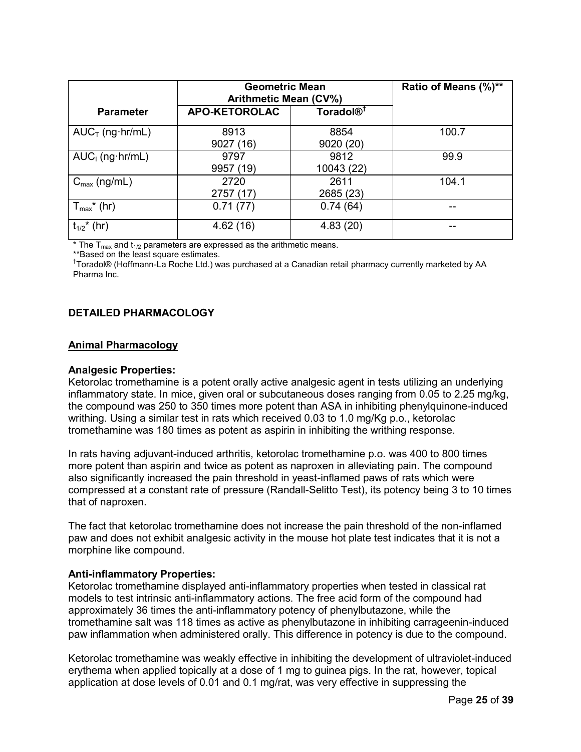|                             | <b>Geometric Mean</b><br><b>Arithmetic Mean (CV%)</b> | Ratio of Means (%)**  |       |
|-----------------------------|-------------------------------------------------------|-----------------------|-------|
| <b>Parameter</b>            | <b>APO-KETOROLAC</b>                                  | Toradol <sup>®†</sup> |       |
| $AUC_T$ (ng hr/mL)          | 8913<br>9027 (16)                                     | 8854<br>9020 (20)     | 100.7 |
| $AUC1$ (ng $hr/mL$ )        | 9797<br>9957 (19)                                     | 9812<br>10043 (22)    | 99.9  |
| $C_{\text{max}}$ (ng/mL)    | 2720<br>2757 (17)                                     | 2611<br>2685 (23)     | 104.1 |
| $T_{\text{max}}^*$ (hr)     | 0.71(77)                                              | 0.74(64)              |       |
| $t_{1/2}$ <sup>*</sup> (hr) | 4.62(16)                                              | 4.83(20)              |       |

\* The  $T_{\text{max}}$  and  $t_{1/2}$  parameters are expressed as the arithmetic means.

\*\*Based on the least square estimates.

<sup>†</sup>Toradol® (Hoffmann-La Roche Ltd.) was purchased at a Canadian retail pharmacy currently marketed by AA Pharma Inc.

## <span id="page-24-0"></span>**DETAILED PHARMACOLOGY**

#### **Animal Pharmacology**

#### **Analgesic Properties:**

Ketorolac tromethamine is a potent orally active analgesic agent in tests utilizing an underlying inflammatory state. In mice, given oral or subcutaneous doses ranging from 0.05 to 2.25 mg/kg, the compound was 250 to 350 times more potent than ASA in inhibiting phenylquinone-induced writhing. Using a similar test in rats which received 0.03 to 1.0 mg/Kg p.o., ketorolac tromethamine was 180 times as potent as aspirin in inhibiting the writhing response.

In rats having adjuvant-induced arthritis, ketorolac tromethamine p.o. was 400 to 800 times more potent than aspirin and twice as potent as naproxen in alleviating pain. The compound also significantly increased the pain threshold in yeast-inflamed paws of rats which were compressed at a constant rate of pressure (Randall-Selitto Test), its potency being 3 to 10 times that of naproxen.

The fact that ketorolac tromethamine does not increase the pain threshold of the non-inflamed paw and does not exhibit analgesic activity in the mouse hot plate test indicates that it is not a morphine like compound.

### **Anti-inflammatory Properties:**

Ketorolac tromethamine displayed anti-inflammatory properties when tested in classical rat models to test intrinsic anti-inflammatory actions. The free acid form of the compound had approximately 36 times the anti-inflammatory potency of phenylbutazone, while the tromethamine salt was 118 times as active as phenylbutazone in inhibiting carrageenin-induced paw inflammation when administered orally. This difference in potency is due to the compound.

Ketorolac tromethamine was weakly effective in inhibiting the development of ultraviolet-induced erythema when applied topically at a dose of 1 mg to guinea pigs. In the rat, however, topical application at dose levels of 0.01 and 0.1 mg/rat, was very effective in suppressing the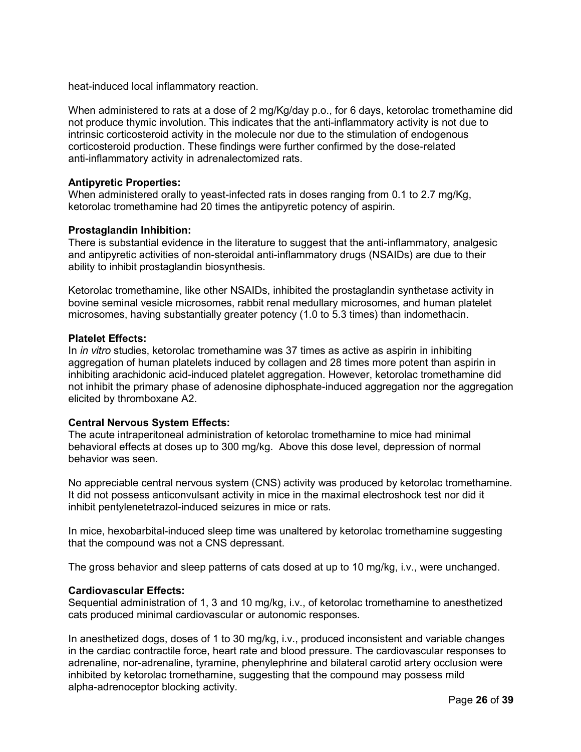heat-induced local inflammatory reaction.

When administered to rats at a dose of 2 mg/Kg/day p.o., for 6 days, ketorolac tromethamine did not produce thymic involution. This indicates that the anti-inflammatory activity is not due to intrinsic corticosteroid activity in the molecule nor due to the stimulation of endogenous corticosteroid production. These findings were further confirmed by the dose-related anti-inflammatory activity in adrenalectomized rats.

## **Antipyretic Properties:**

When administered orally to yeast-infected rats in doses ranging from 0.1 to 2.7 mg/Kg, ketorolac tromethamine had 20 times the antipyretic potency of aspirin.

## **Prostaglandin Inhibition:**

There is substantial evidence in the literature to suggest that the anti-inflammatory, analgesic and antipyretic activities of non-steroidal anti-inflammatory drugs (NSAIDs) are due to their ability to inhibit prostaglandin biosynthesis.

Ketorolac tromethamine, like other NSAIDs, inhibited the prostaglandin synthetase activity in bovine seminal vesicle microsomes, rabbit renal medullary microsomes, and human platelet microsomes, having substantially greater potency (1.0 to 5.3 times) than indomethacin.

## **Platelet Effects:**

In *in vitro* studies, ketorolac tromethamine was 37 times as active as aspirin in inhibiting aggregation of human platelets induced by collagen and 28 times more potent than aspirin in inhibiting arachidonic acid-induced platelet aggregation. However, ketorolac tromethamine did not inhibit the primary phase of adenosine diphosphate-induced aggregation nor the aggregation elicited by thromboxane A2.

### **Central Nervous System Effects:**

The acute intraperitoneal administration of ketorolac tromethamine to mice had minimal behavioral effects at doses up to 300 mg/kg. Above this dose level, depression of normal behavior was seen.

No appreciable central nervous system (CNS) activity was produced by ketorolac tromethamine. It did not possess anticonvulsant activity in mice in the maximal electroshock test nor did it inhibit pentylenetetrazol-induced seizures in mice or rats.

In mice, hexobarbital-induced sleep time was unaltered by ketorolac tromethamine suggesting that the compound was not a CNS depressant.

The gross behavior and sleep patterns of cats dosed at up to 10 mg/kg, i.v., were unchanged.

### **Cardiovascular Effects:**

Sequential administration of 1, 3 and 10 mg/kg, i.v., of ketorolac tromethamine to anesthetized cats produced minimal cardiovascular or autonomic responses.

In anesthetized dogs, doses of 1 to 30 mg/kg, i.v., produced inconsistent and variable changes in the cardiac contractile force, heart rate and blood pressure. The cardiovascular responses to adrenaline, nor-adrenaline, tyramine, phenylephrine and bilateral carotid artery occlusion were inhibited by ketorolac tromethamine, suggesting that the compound may possess mild alpha-adrenoceptor blocking activity.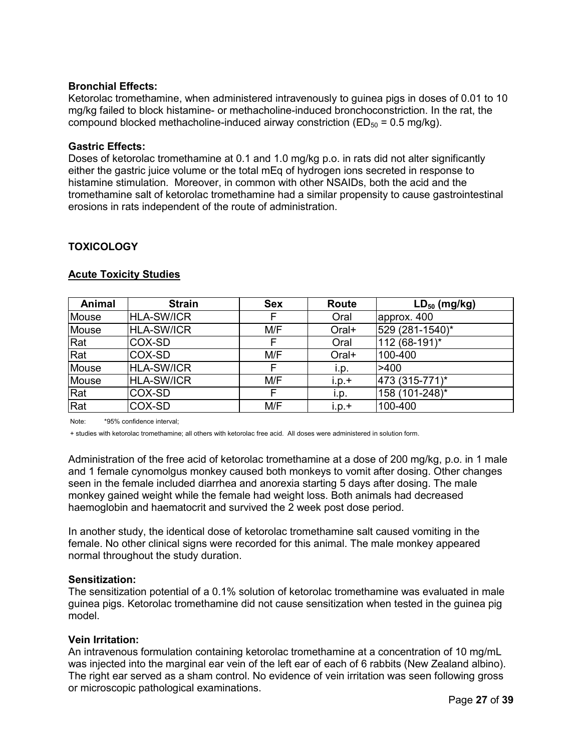## **Bronchial Effects:**

Ketorolac tromethamine, when administered intravenously to guinea pigs in doses of 0.01 to 10 mg/kg failed to block histamine- or methacholine-induced bronchoconstriction. In the rat, the compound blocked methacholine-induced airway constriction ( $ED_{50} = 0.5$  mg/kg).

## **Gastric Effects:**

Doses of ketorolac tromethamine at 0.1 and 1.0 mg/kg p.o. in rats did not alter significantly either the gastric juice volume or the total mEq of hydrogen ions secreted in response to histamine stimulation. Moreover, in common with other NSAIDs, both the acid and the tromethamine salt of ketorolac tromethamine had a similar propensity to cause gastrointestinal erosions in rats independent of the route of administration.

## <span id="page-26-0"></span>**TOXICOLOGY**

| Animal | <b>Strain</b>     | <b>Sex</b> | Route   | $LD_{50}$ (mg/kg) |
|--------|-------------------|------------|---------|-------------------|
| Mouse  | <b>HLA-SW/ICR</b> |            | Oral    | approx. 400       |
| Mouse  | <b>HLA-SW/ICR</b> | M/F        | Oral+   | 529 (281-1540)*   |
| Rat    | COX-SD            |            | Oral    | 112 (68-191)*     |
| Rat    | COX-SD            | M/F        | Oral+   | 100-400           |
| Mouse  | <b>HLA-SW/ICR</b> | F          | i.p.    | >400              |
| Mouse  | <b>HLA-SW/ICR</b> | M/F        | $i.p.+$ | 473 (315-771)*    |
| Rat    | COX-SD            | F          | i.p.    | 158 (101-248)*    |
| Rat    | COX-SD            | M/F        | $i.p.+$ | 100-400           |

## **Acute Toxicity Studies**

Note: \*95% confidence interval;

+ studies with ketorolac tromethamine; all others with ketorolac free acid. All doses were administered in solution form.

Administration of the free acid of ketorolac tromethamine at a dose of 200 mg/kg, p.o. in 1 male and 1 female cynomolgus monkey caused both monkeys to vomit after dosing. Other changes seen in the female included diarrhea and anorexia starting 5 days after dosing. The male monkey gained weight while the female had weight loss. Both animals had decreased haemoglobin and haematocrit and survived the 2 week post dose period.

In another study, the identical dose of ketorolac tromethamine salt caused vomiting in the female. No other clinical signs were recorded for this animal. The male monkey appeared normal throughout the study duration.

## **Sensitization:**

The sensitization potential of a 0.1% solution of ketorolac tromethamine was evaluated in male guinea pigs. Ketorolac tromethamine did not cause sensitization when tested in the guinea pig model.

## **Vein Irritation:**

An intravenous formulation containing ketorolac tromethamine at a concentration of 10 mg/mL was injected into the marginal ear vein of the left ear of each of 6 rabbits (New Zealand albino). The right ear served as a sham control. No evidence of vein irritation was seen following gross or microscopic pathological examinations.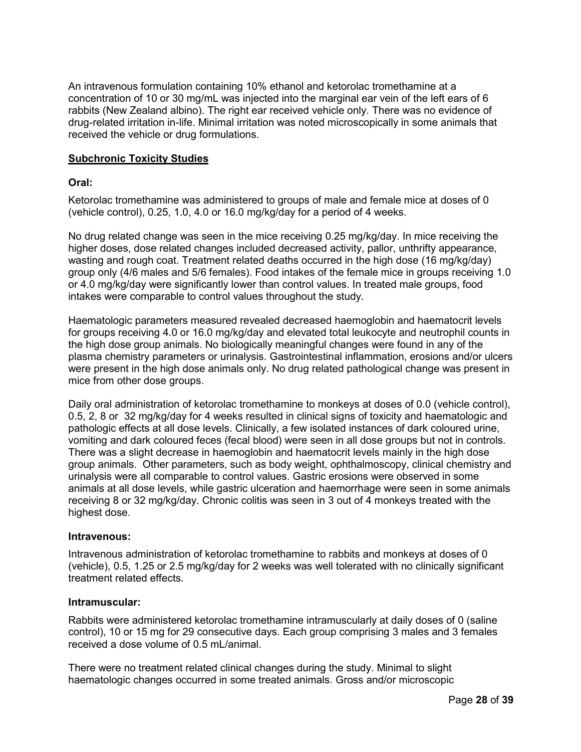An intravenous formulation containing 10% ethanol and ketorolac tromethamine at a concentration of 10 or 30 mg/mL was injected into the marginal ear vein of the left ears of 6 rabbits (New Zealand albino). The right ear received vehicle only. There was no evidence of drug-related irritation in-life. Minimal irritation was noted microscopically in some animals that received the vehicle or drug formulations.

## **Subchronic Toxicity Studies**

### **Oral:**

Ketorolac tromethamine was administered to groups of male and female mice at doses of 0 (vehicle control), 0.25, 1.0, 4.0 or 16.0 mg/kg/day for a period of 4 weeks.

No drug related change was seen in the mice receiving 0.25 mg/kg/day. In mice receiving the higher doses, dose related changes included decreased activity, pallor, unthrifty appearance, wasting and rough coat. Treatment related deaths occurred in the high dose (16 mg/kg/day) group only (4/6 males and 5/6 females). Food intakes of the female mice in groups receiving 1.0 or 4.0 mg/kg/day were significantly lower than control values. In treated male groups, food intakes were comparable to control values throughout the study.

Haematologic parameters measured revealed decreased haemoglobin and haematocrit levels for groups receiving 4.0 or 16.0 mg/kg/day and elevated total leukocyte and neutrophil counts in the high dose group animals. No biologically meaningful changes were found in any of the plasma chemistry parameters or urinalysis. Gastrointestinal inflammation, erosions and/or ulcers were present in the high dose animals only. No drug related pathological change was present in mice from other dose groups.

Daily oral administration of ketorolac tromethamine to monkeys at doses of 0.0 (vehicle control), 0.5, 2, 8 or 32 mg/kg/day for 4 weeks resulted in clinical signs of toxicity and haematologic and pathologic effects at all dose levels. Clinically, a few isolated instances of dark coloured urine, vomiting and dark coloured feces (fecal blood) were seen in all dose groups but not in controls. There was a slight decrease in haemoglobin and haematocrit levels mainly in the high dose group animals. Other parameters, such as body weight, ophthalmoscopy, clinical chemistry and urinalysis were all comparable to control values. Gastric erosions were observed in some animals at all dose levels, while gastric ulceration and haemorrhage were seen in some animals receiving 8 or 32 mg/kg/day. Chronic colitis was seen in 3 out of 4 monkeys treated with the highest dose.

### **Intravenous:**

Intravenous administration of ketorolac tromethamine to rabbits and monkeys at doses of 0 (vehicle), 0.5, 1.25 or 2.5 mg/kg/day for 2 weeks was well tolerated with no clinically significant treatment related effects.

### **Intramuscular:**

Rabbits were administered ketorolac tromethamine intramuscularly at daily doses of 0 (saline control), 10 or 15 mg for 29 consecutive days. Each group comprising 3 males and 3 females received a dose volume of 0.5 mL/animal.

There were no treatment related clinical changes during the study. Minimal to slight haematologic changes occurred in some treated animals. Gross and/or microscopic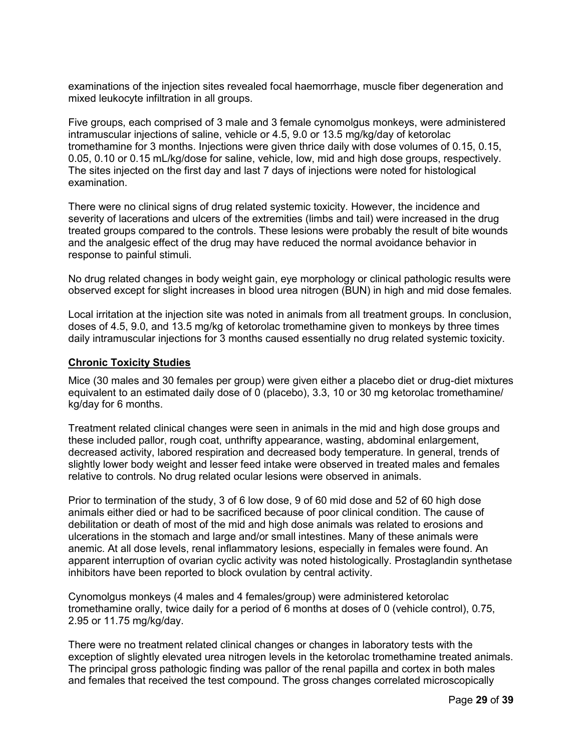examinations of the injection sites revealed focal haemorrhage, muscle fiber degeneration and mixed leukocyte infiltration in all groups.

Five groups, each comprised of 3 male and 3 female cynomolgus monkeys, were administered intramuscular injections of saline, vehicle or 4.5, 9.0 or 13.5 mg/kg/day of ketorolac tromethamine for 3 months. Injections were given thrice daily with dose volumes of 0.15, 0.15, 0.05, 0.10 or 0.15 mL/kg/dose for saline, vehicle, low, mid and high dose groups, respectively. The sites injected on the first day and last 7 days of injections were noted for histological examination.

There were no clinical signs of drug related systemic toxicity. However, the incidence and severity of lacerations and ulcers of the extremities (limbs and tail) were increased in the drug treated groups compared to the controls. These lesions were probably the result of bite wounds and the analgesic effect of the drug may have reduced the normal avoidance behavior in response to painful stimuli.

No drug related changes in body weight gain, eye morphology or clinical pathologic results were observed except for slight increases in blood urea nitrogen (BUN) in high and mid dose females.

Local irritation at the injection site was noted in animals from all treatment groups. In conclusion, doses of 4.5, 9.0, and 13.5 mg/kg of ketorolac tromethamine given to monkeys by three times daily intramuscular injections for 3 months caused essentially no drug related systemic toxicity.

### **Chronic Toxicity Studies**

Mice (30 males and 30 females per group) were given either a placebo diet or drug-diet mixtures equivalent to an estimated daily dose of 0 (placebo), 3.3, 10 or 30 mg ketorolac tromethamine/ kg/day for 6 months.

Treatment related clinical changes were seen in animals in the mid and high dose groups and these included pallor, rough coat, unthrifty appearance, wasting, abdominal enlargement, decreased activity, labored respiration and decreased body temperature. In general, trends of slightly lower body weight and lesser feed intake were observed in treated males and females relative to controls. No drug related ocular lesions were observed in animals.

Prior to termination of the study, 3 of 6 low dose, 9 of 60 mid dose and 52 of 60 high dose animals either died or had to be sacrificed because of poor clinical condition. The cause of debilitation or death of most of the mid and high dose animals was related to erosions and ulcerations in the stomach and large and/or small intestines. Many of these animals were anemic. At all dose levels, renal inflammatory lesions, especially in females were found. An apparent interruption of ovarian cyclic activity was noted histologically. Prostaglandin synthetase inhibitors have been reported to block ovulation by central activity.

Cynomolgus monkeys (4 males and 4 females/group) were administered ketorolac tromethamine orally, twice daily for a period of 6 months at doses of 0 (vehicle control), 0.75, 2.95 or 11.75 mg/kg/day.

There were no treatment related clinical changes or changes in laboratory tests with the exception of slightly elevated urea nitrogen levels in the ketorolac tromethamine treated animals. The principal gross pathologic finding was pallor of the renal papilla and cortex in both males and females that received the test compound. The gross changes correlated microscopically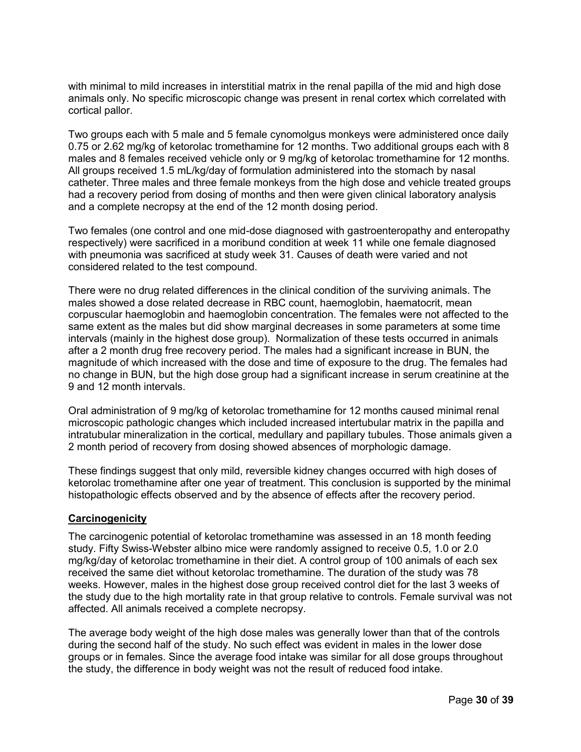with minimal to mild increases in interstitial matrix in the renal papilla of the mid and high dose animals only. No specific microscopic change was present in renal cortex which correlated with cortical pallor.

Two groups each with 5 male and 5 female cynomolgus monkeys were administered once daily 0.75 or 2.62 mg/kg of ketorolac tromethamine for 12 months. Two additional groups each with 8 males and 8 females received vehicle only or 9 mg/kg of ketorolac tromethamine for 12 months. All groups received 1.5 mL/kg/day of formulation administered into the stomach by nasal catheter. Three males and three female monkeys from the high dose and vehicle treated groups had a recovery period from dosing of months and then were given clinical laboratory analysis and a complete necropsy at the end of the 12 month dosing period.

Two females (one control and one mid-dose diagnosed with gastroenteropathy and enteropathy respectively) were sacrificed in a moribund condition at week 11 while one female diagnosed with pneumonia was sacrificed at study week 31. Causes of death were varied and not considered related to the test compound.

There were no drug related differences in the clinical condition of the surviving animals. The males showed a dose related decrease in RBC count, haemoglobin, haematocrit, mean corpuscular haemoglobin and haemoglobin concentration. The females were not affected to the same extent as the males but did show marginal decreases in some parameters at some time intervals (mainly in the highest dose group). Normalization of these tests occurred in animals after a 2 month drug free recovery period. The males had a significant increase in BUN, the magnitude of which increased with the dose and time of exposure to the drug. The females had no change in BUN, but the high dose group had a significant increase in serum creatinine at the 9 and 12 month intervals.

Oral administration of 9 mg/kg of ketorolac tromethamine for 12 months caused minimal renal microscopic pathologic changes which included increased intertubular matrix in the papilla and intratubular mineralization in the cortical, medullary and papillary tubules. Those animals given a 2 month period of recovery from dosing showed absences of morphologic damage.

These findings suggest that only mild, reversible kidney changes occurred with high doses of ketorolac tromethamine after one year of treatment. This conclusion is supported by the minimal histopathologic effects observed and by the absence of effects after the recovery period.

## **Carcinogenicity**

The carcinogenic potential of ketorolac tromethamine was assessed in an 18 month feeding study. Fifty Swiss-Webster albino mice were randomly assigned to receive 0.5, 1.0 or 2.0 mg/kg/day of ketorolac tromethamine in their diet. A control group of 100 animals of each sex received the same diet without ketorolac tromethamine. The duration of the study was 78 weeks. However, males in the highest dose group received control diet for the last 3 weeks of the study due to the high mortality rate in that group relative to controls. Female survival was not affected. All animals received a complete necropsy.

The average body weight of the high dose males was generally lower than that of the controls during the second half of the study. No such effect was evident in males in the lower dose groups or in females. Since the average food intake was similar for all dose groups throughout the study, the difference in body weight was not the result of reduced food intake.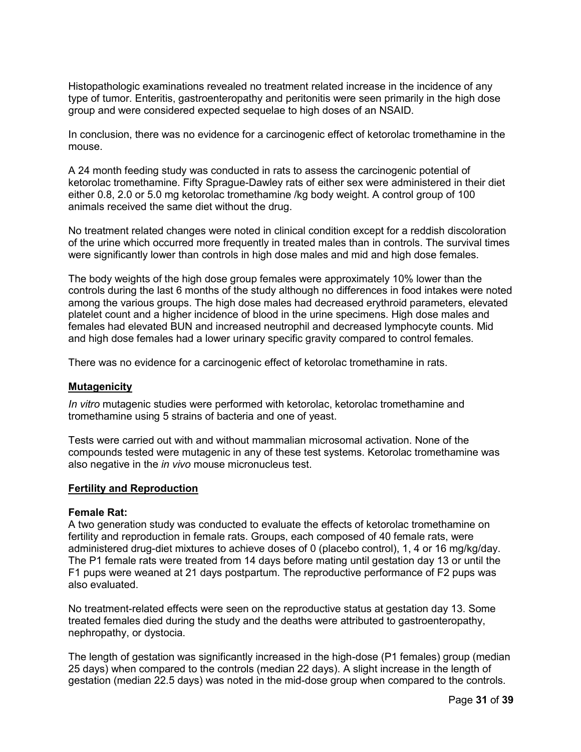Histopathologic examinations revealed no treatment related increase in the incidence of any type of tumor. Enteritis, gastroenteropathy and peritonitis were seen primarily in the high dose group and were considered expected sequelae to high doses of an NSAID.

In conclusion, there was no evidence for a carcinogenic effect of ketorolac tromethamine in the mouse.

A 24 month feeding study was conducted in rats to assess the carcinogenic potential of ketorolac tromethamine. Fifty Sprague-Dawley rats of either sex were administered in their diet either 0.8, 2.0 or 5.0 mg ketorolac tromethamine /kg body weight. A control group of 100 animals received the same diet without the drug.

No treatment related changes were noted in clinical condition except for a reddish discoloration of the urine which occurred more frequently in treated males than in controls. The survival times were significantly lower than controls in high dose males and mid and high dose females.

The body weights of the high dose group females were approximately 10% lower than the controls during the last 6 months of the study although no differences in food intakes were noted among the various groups. The high dose males had decreased erythroid parameters, elevated platelet count and a higher incidence of blood in the urine specimens. High dose males and females had elevated BUN and increased neutrophil and decreased lymphocyte counts. Mid and high dose females had a lower urinary specific gravity compared to control females.

There was no evidence for a carcinogenic effect of ketorolac tromethamine in rats.

### **Mutagenicity**

*In vitro* mutagenic studies were performed with ketorolac, ketorolac tromethamine and tromethamine using 5 strains of bacteria and one of yeast.

Tests were carried out with and without mammalian microsomal activation. None of the compounds tested were mutagenic in any of these test systems. Ketorolac tromethamine was also negative in the *in vivo* mouse micronucleus test.

#### **Fertility and Reproduction**

#### **Female Rat:**

A two generation study was conducted to evaluate the effects of ketorolac tromethamine on fertility and reproduction in female rats. Groups, each composed of 40 female rats, were administered drug-diet mixtures to achieve doses of 0 (placebo control), 1, 4 or 16 mg/kg/day. The P1 female rats were treated from 14 days before mating until gestation day 13 or until the F1 pups were weaned at 21 days postpartum. The reproductive performance of F2 pups was also evaluated.

No treatment-related effects were seen on the reproductive status at gestation day 13. Some treated females died during the study and the deaths were attributed to gastroenteropathy, nephropathy, or dystocia.

The length of gestation was significantly increased in the high-dose (P1 females) group (median 25 days) when compared to the controls (median 22 days). A slight increase in the length of gestation (median 22.5 days) was noted in the mid-dose group when compared to the controls.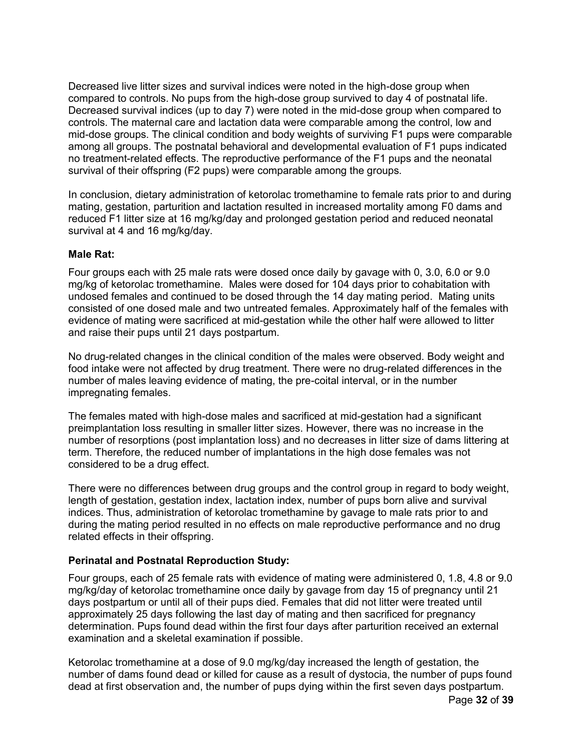Decreased live litter sizes and survival indices were noted in the high-dose group when compared to controls. No pups from the high-dose group survived to day 4 of postnatal life. Decreased survival indices (up to day 7) were noted in the mid-dose group when compared to controls. The maternal care and lactation data were comparable among the control, low and mid-dose groups. The clinical condition and body weights of surviving F1 pups were comparable among all groups. The postnatal behavioral and developmental evaluation of F1 pups indicated no treatment-related effects. The reproductive performance of the F1 pups and the neonatal survival of their offspring (F2 pups) were comparable among the groups.

In conclusion, dietary administration of ketorolac tromethamine to female rats prior to and during mating, gestation, parturition and lactation resulted in increased mortality among F0 dams and reduced F1 litter size at 16 mg/kg/day and prolonged gestation period and reduced neonatal survival at 4 and 16 mg/kg/day.

## **Male Rat:**

Four groups each with 25 male rats were dosed once daily by gavage with 0, 3.0, 6.0 or 9.0 mg/kg of ketorolac tromethamine. Males were dosed for 104 days prior to cohabitation with undosed females and continued to be dosed through the 14 day mating period. Mating units consisted of one dosed male and two untreated females. Approximately half of the females with evidence of mating were sacrificed at mid-gestation while the other half were allowed to litter and raise their pups until 21 days postpartum.

No drug-related changes in the clinical condition of the males were observed. Body weight and food intake were not affected by drug treatment. There were no drug-related differences in the number of males leaving evidence of mating, the pre-coital interval, or in the number impregnating females.

The females mated with high-dose males and sacrificed at mid-gestation had a significant preimplantation loss resulting in smaller litter sizes. However, there was no increase in the number of resorptions (post implantation loss) and no decreases in litter size of dams littering at term. Therefore, the reduced number of implantations in the high dose females was not considered to be a drug effect.

There were no differences between drug groups and the control group in regard to body weight, length of gestation, gestation index, lactation index, number of pups born alive and survival indices. Thus, administration of ketorolac tromethamine by gavage to male rats prior to and during the mating period resulted in no effects on male reproductive performance and no drug related effects in their offspring.

## **Perinatal and Postnatal Reproduction Study:**

Four groups, each of 25 female rats with evidence of mating were administered 0, 1.8, 4.8 or 9.0 mg/kg/day of ketorolac tromethamine once daily by gavage from day 15 of pregnancy until 21 days postpartum or until all of their pups died. Females that did not litter were treated until approximately 25 days following the last day of mating and then sacrificed for pregnancy determination. Pups found dead within the first four days after parturition received an external examination and a skeletal examination if possible.

Ketorolac tromethamine at a dose of 9.0 mg/kg/day increased the length of gestation, the number of dams found dead or killed for cause as a result of dystocia, the number of pups found dead at first observation and, the number of pups dying within the first seven days postpartum.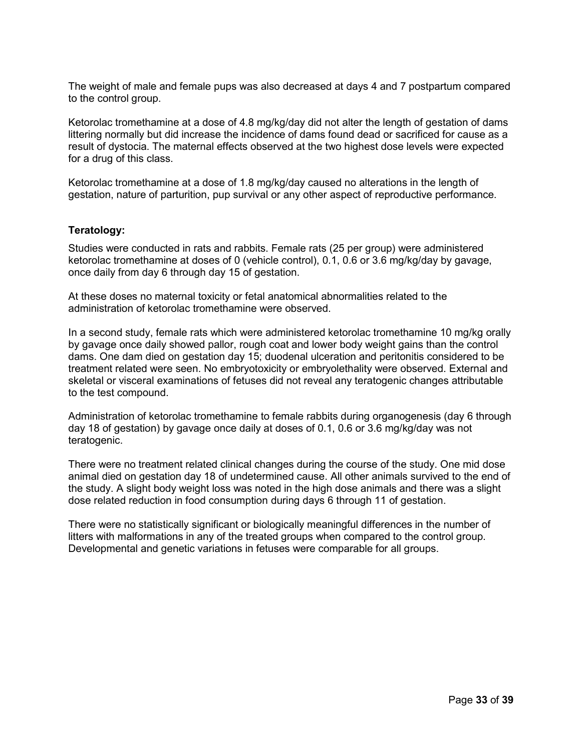The weight of male and female pups was also decreased at days 4 and 7 postpartum compared to the control group.

Ketorolac tromethamine at a dose of 4.8 mg/kg/day did not alter the length of gestation of dams littering normally but did increase the incidence of dams found dead or sacrificed for cause as a result of dystocia. The maternal effects observed at the two highest dose levels were expected for a drug of this class.

Ketorolac tromethamine at a dose of 1.8 mg/kg/day caused no alterations in the length of gestation, nature of parturition, pup survival or any other aspect of reproductive performance.

### **Teratology:**

Studies were conducted in rats and rabbits. Female rats (25 per group) were administered ketorolac tromethamine at doses of 0 (vehicle control), 0.1, 0.6 or 3.6 mg/kg/day by gavage, once daily from day 6 through day 15 of gestation.

At these doses no maternal toxicity or fetal anatomical abnormalities related to the administration of ketorolac tromethamine were observed.

In a second study, female rats which were administered ketorolac tromethamine 10 mg/kg orally by gavage once daily showed pallor, rough coat and lower body weight gains than the control dams. One dam died on gestation day 15; duodenal ulceration and peritonitis considered to be treatment related were seen. No embryotoxicity or embryolethality were observed. External and skeletal or visceral examinations of fetuses did not reveal any teratogenic changes attributable to the test compound.

Administration of ketorolac tromethamine to female rabbits during organogenesis (day 6 through day 18 of gestation) by gavage once daily at doses of 0.1, 0.6 or 3.6 mg/kg/day was not teratogenic.

There were no treatment related clinical changes during the course of the study. One mid dose animal died on gestation day 18 of undetermined cause. All other animals survived to the end of the study. A slight body weight loss was noted in the high dose animals and there was a slight dose related reduction in food consumption during days 6 through 11 of gestation.

There were no statistically significant or biologically meaningful differences in the number of litters with malformations in any of the treated groups when compared to the control group. Developmental and genetic variations in fetuses were comparable for all groups.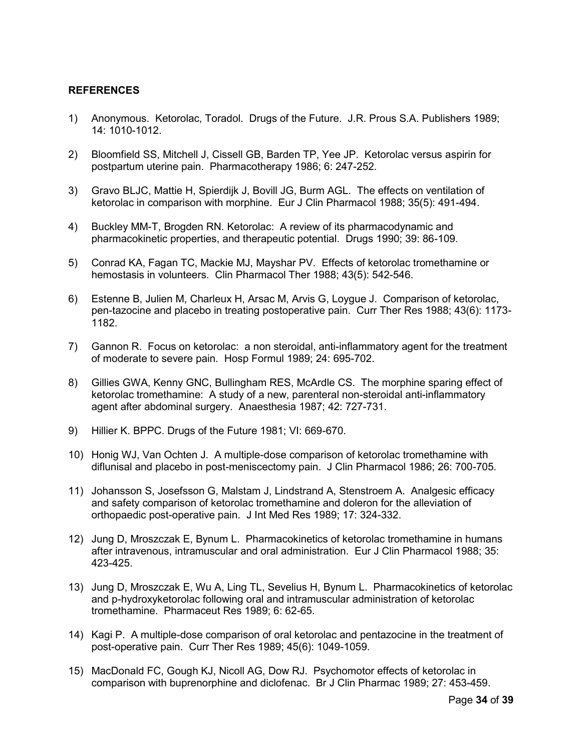### <span id="page-33-0"></span>**REFERENCES**

- 1) Anonymous. Ketorolac, Toradol. Drugs of the Future. J.R. Prous S.A. Publishers 1989; 14: 1010-1012.
- 2) Bloomfield SS, Mitchell J, Cissell GB, Barden TP, Yee JP. Ketorolac versus aspirin for postpartum uterine pain. Pharmacotherapy 1986; 6: 247-252.
- 3) Gravo BLJC, Mattie H, Spierdijk J, Bovill JG, Burm AGL. The effects on ventilation of ketorolac in comparison with morphine. Eur J Clin Pharmacol 1988; 35(5): 491-494.
- 4) Buckley MM-T, Brogden RN. Ketorolac: A review of its pharmacodynamic and pharmacokinetic properties, and therapeutic potential. Drugs 1990; 39: 86-109.
- 5) Conrad KA, Fagan TC, Mackie MJ, Mayshar PV. Effects of ketorolac tromethamine or hemostasis in volunteers. Clin Pharmacol Ther 1988; 43(5): 542-546.
- 6) Estenne B, Julien M, Charleux H, Arsac M, Arvis G, Loygue J. Comparison of ketorolac, pen-tazocine and placebo in treating postoperative pain. Curr Ther Res 1988; 43(6): 1173- 1182.
- 7) Gannon R. Focus on ketorolac: a non steroidal, anti-inflammatory agent for the treatment of moderate to severe pain. Hosp Formul 1989; 24: 695-702.
- 8) Gillies GWA, Kenny GNC, Bullingham RES, McArdle CS. The morphine sparing effect of ketorolac tromethamine: A study of a new, parenteral non-steroidal anti-inflammatory agent after abdominal surgery. Anaesthesia 1987; 42: 727-731.
- 9) Hillier K. BPPC. Drugs of the Future 1981; VI: 669-670.
- 10) Honig WJ, Van Ochten J. A multiple-dose comparison of ketorolac tromethamine with diflunisal and placebo in post-meniscectomy pain. J Clin Pharmacol 1986; 26: 700-705.
- 11) Johansson S, Josefsson G, Malstam J, Lindstrand A, Stenstroem A. Analgesic efficacy and safety comparison of ketorolac tromethamine and doleron for the alleviation of orthopaedic post-operative pain. J Int Med Res 1989; 17: 324-332.
- 12) Jung D, Mroszczak E, Bynum L. Pharmacokinetics of ketorolac tromethamine in humans after intravenous, intramuscular and oral administration. Eur J Clin Pharmacol 1988; 35: 423-425.
- 13) Jung D, Mroszczak E, Wu A, Ling TL, Sevelius H, Bynum L. Pharmacokinetics of ketorolac and p-hydroxyketorolac following oral and intramuscular administration of ketorolac tromethamine. Pharmaceut Res 1989; 6: 62-65.
- 14) Kagi P. A multiple-dose comparison of oral ketorolac and pentazocine in the treatment of post-operative pain. Curr Ther Res 1989; 45(6): 1049-1059.
- 15) MacDonald FC, Gough KJ, Nicoll AG, Dow RJ. Psychomotor effects of ketorolac in comparison with buprenorphine and diclofenac. Br J Clin Pharmac 1989; 27: 453-459.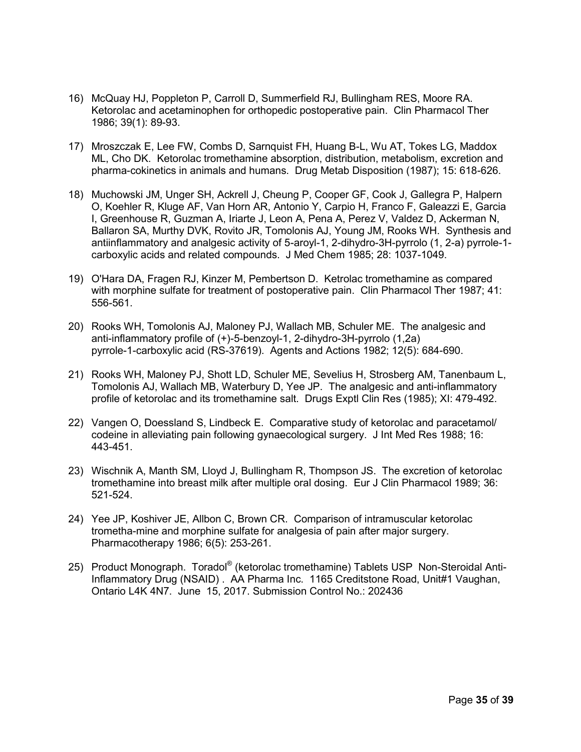- 16) McQuay HJ, Poppleton P, Carroll D, Summerfield RJ, Bullingham RES, Moore RA. Ketorolac and acetaminophen for orthopedic postoperative pain. Clin Pharmacol Ther 1986; 39(1): 89-93.
- 17) Mroszczak E, Lee FW, Combs D, Sarnquist FH, Huang B-L, Wu AT, Tokes LG, Maddox ML, Cho DK. Ketorolac tromethamine absorption, distribution, metabolism, excretion and pharma-cokinetics in animals and humans. Drug Metab Disposition (1987); 15: 618-626.
- 18) Muchowski JM, Unger SH, Ackrell J, Cheung P, Cooper GF, Cook J, Gallegra P, Halpern O, Koehler R, Kluge AF, Van Horn AR, Antonio Y, Carpio H, Franco F, Galeazzi E, Garcia I, Greenhouse R, Guzman A, Iriarte J, Leon A, Pena A, Perez V, Valdez D, Ackerman N, Ballaron SA, Murthy DVK, Rovito JR, Tomolonis AJ, Young JM, Rooks WH. Synthesis and antiinflammatory and analgesic activity of 5-aroyl-1, 2-dihydro-3H-pyrrolo (1, 2-a) pyrrole-1 carboxylic acids and related compounds. J Med Chem 1985; 28: 1037-1049.
- 19) O'Hara DA, Fragen RJ, Kinzer M, Pembertson D. Ketrolac tromethamine as compared with morphine sulfate for treatment of postoperative pain. Clin Pharmacol Ther 1987; 41: 556-561.
- 20) Rooks WH, Tomolonis AJ, Maloney PJ, Wallach MB, Schuler ME. The analgesic and anti-inflammatory profile of (+)-5-benzoyl-1, 2-dihydro-3H-pyrrolo (1,2a) pyrrole-1-carboxylic acid (RS-37619). Agents and Actions 1982; 12(5): 684-690.
- 21) Rooks WH, Maloney PJ, Shott LD, Schuler ME, Sevelius H, Strosberg AM, Tanenbaum L, Tomolonis AJ, Wallach MB, Waterbury D, Yee JP. The analgesic and anti-inflammatory profile of ketorolac and its tromethamine salt. Drugs Exptl Clin Res (1985); XI: 479-492.
- 22) Vangen O, Doessland S, Lindbeck E. Comparative study of ketorolac and paracetamol/ codeine in alleviating pain following gynaecological surgery. J Int Med Res 1988; 16: 443-451.
- 23) Wischnik A, Manth SM, Lloyd J, Bullingham R, Thompson JS. The excretion of ketorolac tromethamine into breast milk after multiple oral dosing. Eur J Clin Pharmacol 1989; 36: 521-524.
- 24) Yee JP, Koshiver JE, Allbon C, Brown CR. Comparison of intramuscular ketorolac trometha-mine and morphine sulfate for analgesia of pain after major surgery. Pharmacotherapy 1986; 6(5): 253-261.
- 25) Product Monograph. Toradol® (ketorolac tromethamine) Tablets USP Non-Steroidal Anti-Inflammatory Drug (NSAID) . AA Pharma Inc. 1165 Creditstone Road, Unit#1 Vaughan, Ontario L4K 4N7. June 15, 2017. Submission Control No.: 202436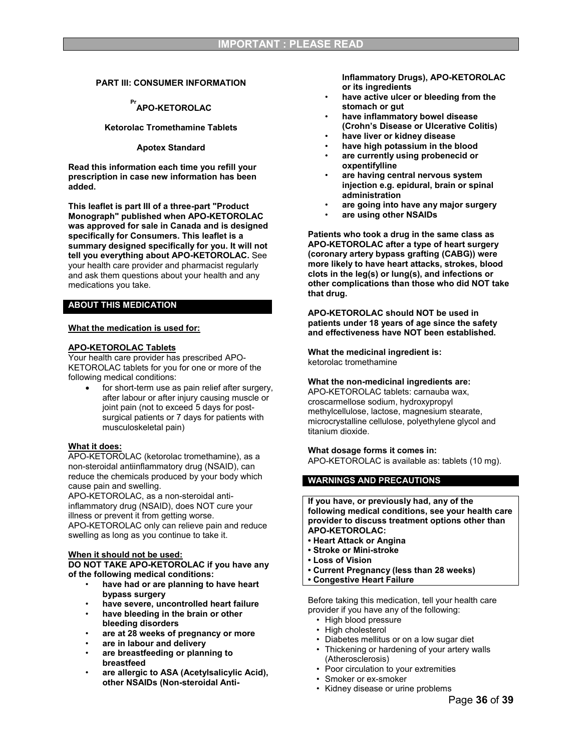#### <span id="page-35-0"></span>**PART III: CONSUMER INFORMATION**

## **Pr APO-KETOROLAC**

**Ketorolac Tromethamine Tablets**

#### **Apotex Standard**

**Read this information each time you refill your prescription in case new information has been added.**

**This leaflet is part III of a three-part "Product Monograph" published when APO-KETOROLAC was approved for sale in Canada and is designed specifically for Consumers. This leaflet is a summary designed specifically for you. It will not tell you everything about APO-KETOROLAC.** See your health care provider and pharmacist regularly and ask them questions about your health and any medications you take.

#### **ABOUT THIS MEDICATION**

#### **What the medication is used for:**

#### **APO-KETOROLAC Tablets**

Your health care provider has prescribed APO-KETOROLAC tablets for you for one or more of the following medical conditions:

 for short-term use as pain relief after surgery, after labour or after injury causing muscle or joint pain (not to exceed 5 days for postsurgical patients or 7 days for patients with musculoskeletal pain)

#### **What it does:**

APO-KETOROLAC (ketorolac tromethamine), as a non-steroidal antiinflammatory drug (NSAID), can reduce the chemicals produced by your body which cause pain and swelling.

APO-KETOROLAC, as a non-steroidal antiinflammatory drug (NSAID), does NOT cure your illness or prevent it from getting worse. APO-KETOROLAC only can relieve pain and reduce swelling as long as you continue to take it.

#### **When it should not be used:**

**DO NOT TAKE APO-KETOROLAC if you have any of the following medical conditions:**

- **have had or are planning to have heart bypass surgery**
- **have severe, uncontrolled heart failure**
- **have bleeding in the brain or other bleeding disorders**
- **are at 28 weeks of pregnancy or more**
- **are in labour and delivery**
- **are breastfeeding or planning to breastfeed**
- **are allergic to ASA (Acetylsalicylic Acid), other NSAIDs (Non-steroidal Anti-**

**Inflammatory Drugs), APO-KETOROLAC or its ingredients**

- **have active ulcer or bleeding from the stomach or gut**
- **have inflammatory bowel disease (Crohn's Disease or Ulcerative Colitis)** • **have liver or kidney disease**
- **have high potassium in the blood**
- **are currently using probenecid or oxpentifylline**
- **are having central nervous system injection e.g. epidural, brain or spinal administration**
- **are going into have any major surgery**
- **are using other NSAIDs**

**Patients who took a drug in the same class as APO-KETOROLAC after a type of heart surgery (coronary artery bypass grafting (CABG)) were more likely to have heart attacks, strokes, blood clots in the leg(s) or lung(s), and infections or other complications than those who did NOT take that drug.**

**APO-KETOROLAC should NOT be used in patients under 18 years of age since the safety and effectiveness have NOT been established.**

**What the medicinal ingredient is:** ketorolac tromethamine

#### **What the non-medicinal ingredients are:**

APO-KETOROLAC tablets: carnauba wax, croscarmellose sodium, hydroxypropyl methylcellulose, lactose, magnesium stearate, microcrystalline cellulose, polyethylene glycol and titanium dioxide.

#### **What dosage forms it comes in:**

APO-KETOROLAC is available as: tablets (10 mg).

#### **WARNINGS AND PRECAUTIONS**

**If you have, or previously had, any of the following medical conditions, see your health care provider to discuss treatment options other than APO-KETOROLAC:**

- **Heart Attack or Angina**
- **Stroke or Mini-stroke**
- **Loss of Vision**
- **Current Pregnancy (less than 28 weeks)**
- **Congestive Heart Failure**

Before taking this medication, tell your health care provider if you have any of the following:

- High blood pressure
- High cholesterol
- Diabetes mellitus or on a low sugar diet
- Thickening or hardening of your artery walls (Atherosclerosis)
- Poor circulation to your extremities
- Smoker or ex-smoker
- Kidney disease or urine problems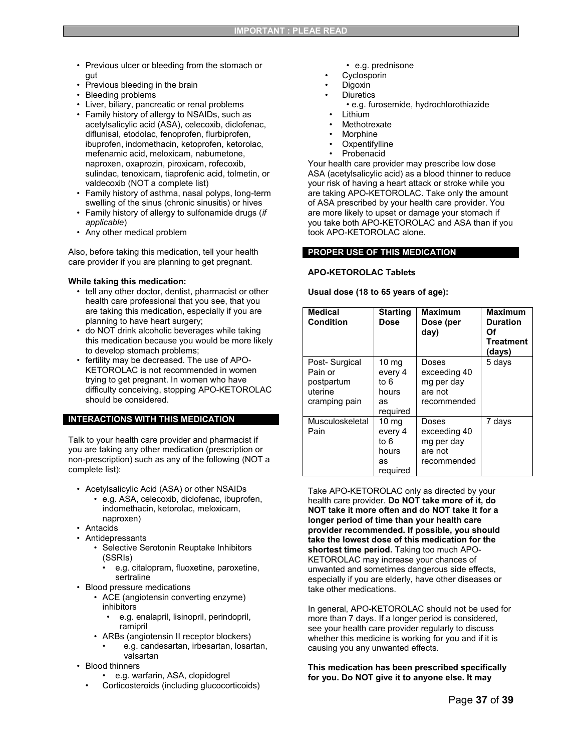- Previous ulcer or bleeding from the stomach or gut
- Previous bleeding in the brain
- Bleeding problems
- Liver, biliary, pancreatic or renal problems
- Family history of allergy to NSAIDs, such as acetylsalicylic acid (ASA), celecoxib, diclofenac, diflunisal, etodolac, fenoprofen, flurbiprofen, ibuprofen, indomethacin, ketoprofen, ketorolac, mefenamic acid, meloxicam, nabumetone, naproxen, oxaprozin, piroxicam, rofecoxib, sulindac, tenoxicam, tiaprofenic acid, tolmetin, or valdecoxib (NOT a complete list)
- Family history of asthma, nasal polyps, long-term swelling of the sinus (chronic sinusitis) or hives
- Family history of allergy to sulfonamide drugs (*if applicable*)
- Any other medical problem

Also, before taking this medication, tell your health care provider if you are planning to get pregnant.

#### **While taking this medication:**

- tell any other doctor, dentist, pharmacist or other health care professional that you see, that you are taking this medication, especially if you are planning to have heart surgery;
- do NOT drink alcoholic beverages while taking this medication because you would be more likely to develop stomach problems;
- fertility may be decreased. The use of APO-KETOROLAC is not recommended in women trying to get pregnant. In women who have difficulty conceiving, stopping APO-KETOROLAC should be considered.

#### **INTERACTIONS WITH THIS MEDICATION**

Talk to your health care provider and pharmacist if you are taking any other medication (prescription or non-prescription) such as any of the following (NOT a complete list):

- Acetylsalicylic Acid (ASA) or other NSAIDs • e.g. ASA, celecoxib, diclofenac, ibuprofen, indomethacin, ketorolac, meloxicam, naproxen)
- Antacids
- **Antidepressants** 
	- Selective Serotonin Reuptake Inhibitors (SSRIs)
		- e.g. citalopram, fluoxetine, paroxetine, sertraline
- Blood pressure medications
	- ACE (angiotensin converting enzyme) inhibitors
		- e.g. enalapril, lisinopril, perindopril, ramipril
	- ARBs (angiotensin II receptor blockers)
		- e.g. candesartan, irbesartan, losartan, valsartan
- Blood thinners
	- e.g. warfarin, ASA, clopidogrel
	- Corticosteroids (including glucocorticoids)
- e.g. prednisone
- **Cyclosporin**
- Digoxin
- **Diuretics** 
	- e.g. furosemide, hydrochlorothiazide
	- Lithium
	- **Methotrexate**
	- **Morphine**
- **Oxpentifylline**
- Probenacid

Your health care provider may prescribe low dose ASA (acetylsalicylic acid) as a blood thinner to reduce your risk of having a heart attack or stroke while you are taking APO-KETOROLAC. Take only the amount of ASA prescribed by your health care provider. You are more likely to upset or damage your stomach if you take both APO-KETOROLAC and ASA than if you took APO-KETOROLAC alone.

#### **PROPER USE OF THIS MEDICATION**

#### **APO-KETOROLAC Tablets**

#### **Usual dose (18 to 65 years of age):**

| <b>Medical</b><br><b>Condition</b>                                 | <b>Starting</b><br>Dose                                        | Maximum<br>Dose (per<br>day)                                  | <b>Maximum</b><br><b>Duration</b><br>Οf<br><b>Treatment</b><br>(days) |
|--------------------------------------------------------------------|----------------------------------------------------------------|---------------------------------------------------------------|-----------------------------------------------------------------------|
| Post-Surgical<br>Pain or<br>postpartum<br>uterine<br>cramping pain | 10 <sub>mg</sub><br>every 4<br>to 6<br>hours<br>as<br>required | Doses<br>exceeding 40<br>mg per day<br>are not<br>recommended | 5 days                                                                |
| Musculoskeletal<br>Pain                                            | 10 <sub>mg</sub><br>every 4<br>to 6<br>hours<br>as<br>required | Doses<br>exceeding 40<br>mg per day<br>are not<br>recommended | 7 days                                                                |

Take APO-KETOROLAC only as directed by your health care provider. **Do NOT take more of it, do NOT take it more often and do NOT take it for a longer period of time than your health care provider recommended. If possible, you should take the lowest dose of this medication for the shortest time period.** Taking too much APO-KETOROLAC may increase your chances of unwanted and sometimes dangerous side effects, especially if you are elderly, have other diseases or take other medications.

In general, APO-KETOROLAC should not be used for more than 7 days. If a longer period is considered, see your health care provider regularly to discuss whether this medicine is working for you and if it is causing you any unwanted effects.

#### **This medication has been prescribed specifically for you. Do NOT give it to anyone else. It may**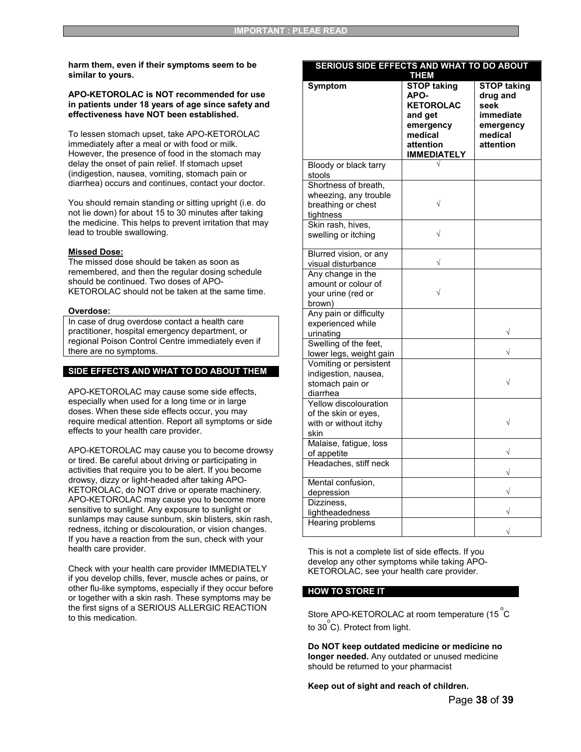**harm them, even if their symptoms seem to be similar to yours.**

#### **APO-KETOROLAC is NOT recommended for use in patients under 18 years of age since safety and effectiveness have NOT been established.**

To lessen stomach upset, take APO-KETOROLAC immediately after a meal or with food or milk. However, the presence of food in the stomach may delay the onset of pain relief. If stomach upset (indigestion, nausea, vomiting, stomach pain or diarrhea) occurs and continues, contact your doctor.

You should remain standing or sitting upright (i.e. do not lie down) for about 15 to 30 minutes after taking the medicine. This helps to prevent irritation that may lead to trouble swallowing.

#### **Missed Dose:**

The missed dose should be taken as soon as remembered, and then the regular dosing schedule should be continued. Two doses of APO-KETOROLAC should not be taken at the same time.

#### **Overdose:**

In case of drug overdose contact a health care practitioner, hospital emergency department, or regional Poison Control Centre immediately even if there are no symptoms.

#### **SIDE EFFECTS AND WHAT TO DO ABOUT THEM**

APO-KETOROLAC may cause some side effects, especially when used for a long time or in large doses. When these side effects occur, you may require medical attention. Report all symptoms or side effects to your health care provider.

APO-KETOROLAC may cause you to become drowsy or tired. Be careful about driving or participating in activities that require you to be alert. If you become drowsy, dizzy or light-headed after taking APO-KETOROLAC, do NOT drive or operate machinery. APO-KETOROLAC may cause you to become more sensitive to sunlight. Any exposure to sunlight or sunlamps may cause sunburn, skin blisters, skin rash, redness, itching or discolouration, or vision changes. If you have a reaction from the sun, check with your health care provider.

Check with your health care provider IMMEDIATELY if you develop chills, fever, muscle aches or pains, or other flu-like symptoms, especially if they occur before or together with a skin rash. These symptoms may be the first signs of a SERIOUS ALLERGIC REACTION to this medication.

| Symptom                                                                          | <b>THEM</b><br><b>STOP taking</b><br>APO-<br><b>KETOROLAC</b><br>and get<br>emergency<br>medical<br>attention<br><b>IMMEDIATELY</b> | <b>STOP taking</b><br>drug and<br>seek<br>immediate<br>emergency<br>medical<br>attention |
|----------------------------------------------------------------------------------|-------------------------------------------------------------------------------------------------------------------------------------|------------------------------------------------------------------------------------------|
| Bloody or black tarry<br>stools                                                  |                                                                                                                                     |                                                                                          |
| Shortness of breath,<br>wheezing, any trouble<br>breathing or chest<br>tightness | $\sqrt{}$                                                                                                                           |                                                                                          |
| Skin rash, hives,<br>swelling or itching                                         | $\sqrt{}$                                                                                                                           |                                                                                          |
| Blurred vision, or any<br>visual disturbance                                     | $\sqrt{}$                                                                                                                           |                                                                                          |
| Any change in the<br>amount or colour of<br>your urine (red or<br>brown)         |                                                                                                                                     |                                                                                          |
| Any pain or difficulty<br>experienced while<br>urinating                         |                                                                                                                                     |                                                                                          |
| Swelling of the feet,<br>lower legs, weight gain                                 |                                                                                                                                     |                                                                                          |
| Vomiting or persistent<br>indigestion, nausea,<br>stomach pain or<br>diarrhea    |                                                                                                                                     |                                                                                          |
| Yellow discolouration<br>of the skin or eyes,<br>with or without itchy<br>skin   |                                                                                                                                     | $\sqrt{}$                                                                                |
| Malaise, fatigue, loss<br>of appetite                                            |                                                                                                                                     | V                                                                                        |
| Headaches, stiff neck                                                            |                                                                                                                                     |                                                                                          |
| Mental confusion,<br>depression                                                  |                                                                                                                                     |                                                                                          |
| Dizziness.<br>lightheadedness                                                    |                                                                                                                                     |                                                                                          |
| Hearing problems                                                                 |                                                                                                                                     |                                                                                          |

**SERIOUS SIDE EFFECTS AND WHAT TO DO ABOUT** 

This is not a complete list of side effects. If you develop any other symptoms while taking APO-KETOROLAC, see your health care provider.

#### **HOW TO STORE IT**

Store APO-KETOROLAC at room temperature (15 $^{\circ}$ C to 30 $^{\circ}$ C). Protect from light.

**Do NOT keep outdated medicine or medicine no longer needed.** Any outdated or unused medicine should be returned to your pharmacist

**Keep out of sight and reach of children.**